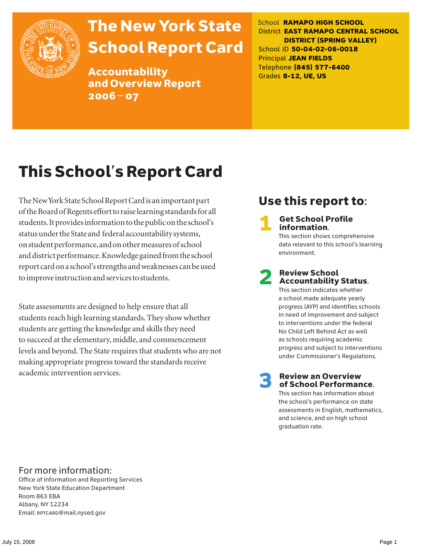

# The New York State School Report Card

Accountability and Overview Report 2006–07

School **RAMAPO HIGH SCHOOL** District **EAST RAMAPO CENTRAL SCHOOL DISTRICT (SPRING VALLEY)** School ID **50-04-02-06-0018** Principal **JEAN FIELDS** Telephone **(845) 577-6400** Grades **8-12, UE, US**

# This School's Report Card

The New York State School Report Card is an important part of the Board of Regents effort to raise learning standards for all students. It provides information to the public on the school's status under the State and federal accountability systems, on student performance, and on other measures of school and district performance. Knowledge gained from the school report card on a school's strengths and weaknesses can be used to improve instruction and services to students.

State assessments are designed to help ensure that all students reach high learning standards. They show whether students are getting the knowledge and skills they need to succeed at the elementary, middle, and commencement levels and beyond. The State requires that students who are not making appropriate progress toward the standards receive academic intervention services.

## Use this report to:

**Get School Profile** information.

This section shows comprehensive data relevant to this school's learning environment.

# 2 Review School Accountability Status.

This section indicates whether a school made adequate yearly progress (AYP) and identifies schools in need of improvement and subject to interventions under the federal No Child Left Behind Act as well as schools requiring academic progress and subject to interventions under Commissioner's Regulations.

**Review an Overview** of School Performance.

This section has information about the school's performance on state assessments in English, mathematics, and science, and on high school graduation rate.

### For more information:

Office of Information and Reporting Services New York State Education Department Room 863 EBA Albany, NY 12234 Email: RPTCARD@mail.nysed.gov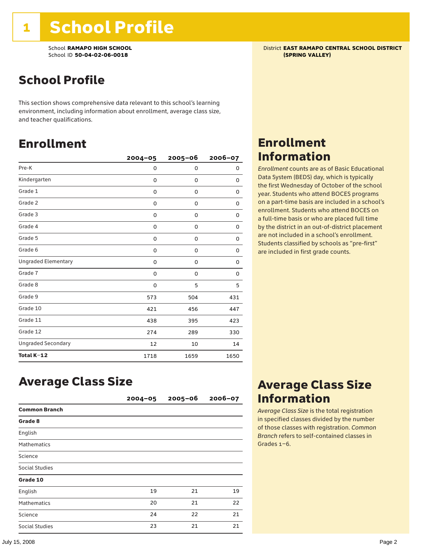School **RAMAPO HIGH SCHOOL**<br>School ID 50-04-02-06-0018<br>**School ID 50-04-02-06-0018** School ID 50-04-02-06-0018

## School Profile

This section shows comprehensive data relevant to this school's learning environment, including information about enrollment, average class size, and teacher qualifications.

### Enrollment

|                            | $2004 - 05$ | $2005 - 06$ | $2006 - 07$ |
|----------------------------|-------------|-------------|-------------|
| Pre-K                      | 0           | 0           | 0           |
| Kindergarten               | 0           | $\mathbf 0$ | 0           |
| Grade 1                    | 0           | 0           | 0           |
| Grade 2                    | 0           | 0           | 0           |
| Grade 3                    | 0           | 0           | 0           |
| Grade 4                    | 0           | 0           | 0           |
| Grade 5                    | 0           | 0           | 0           |
| Grade 6                    | 0           | 0           | 0           |
| <b>Ungraded Elementary</b> | 0           | $\mathbf 0$ | 0           |
| Grade 7                    | 0           | 0           | 0           |
| Grade 8                    | 0           | 5           | 5           |
| Grade 9                    | 573         | 504         | 431         |
| Grade 10                   | 421         | 456         | 447         |
| Grade 11                   | 438         | 395         | 423         |
| Grade 12                   | 274         | 289         | 330         |
| <b>Ungraded Secondary</b>  | 12          | 10          | 14          |
| Total K-12                 | 1718        | 1659        | 1650        |

## Enrollment Information

*Enrollment* counts are as of Basic Educational Data System (BEDS) day, which is typically the first Wednesday of October of the school year. Students who attend BOCES programs on a part-time basis are included in a school's enrollment. Students who attend BOCES on a full-time basis or who are placed full time by the district in an out-of-district placement are not included in a school's enrollment. Students classified by schools as "pre-first" are included in first grade counts.

### Average Class Size

|                       | $2004 - 05$ | $2005 - 06$ | $2006 - 07$ |
|-----------------------|-------------|-------------|-------------|
| <b>Common Branch</b>  |             |             |             |
| Grade 8               |             |             |             |
| English               |             |             |             |
| <b>Mathematics</b>    |             |             |             |
| Science               |             |             |             |
| <b>Social Studies</b> |             |             |             |
| Grade 10              |             |             |             |
| English               | 19          | 21          | 19          |
| <b>Mathematics</b>    | 20          | 21          | 22          |
| Science               | 24          | 22          | 21          |
| Social Studies        | 23          | 21          | 21          |

### Average Class Size Information

*Average Class Size* is the total registration in specified classes divided by the number of those classes with registration. *Common Branch* refers to self-contained classes in Grades 1–6.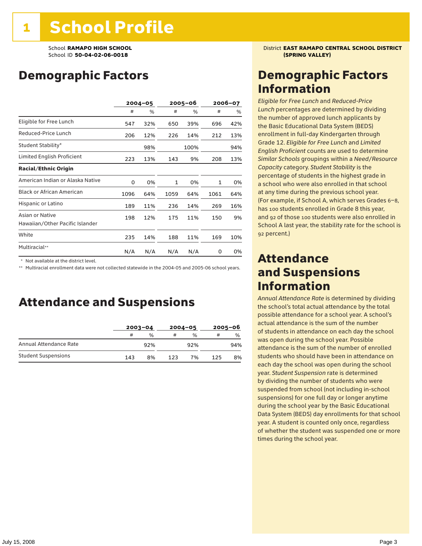## Demographic Factors

|                                                    | $2004 - 05$ |     | 2005–06 |      | 2006-07 |     |
|----------------------------------------------------|-------------|-----|---------|------|---------|-----|
|                                                    | #           | %   | #       | %    | #       | %   |
| Eligible for Free Lunch                            | 547         | 32% | 650     | 39%  | 696     | 42% |
| Reduced-Price Lunch                                | 206         | 12% | 226     | 14%  | 212     | 13% |
| Student Stability*                                 |             | 98% |         | 100% |         | 94% |
| Limited English Proficient                         | 223         | 13% | 143     | 9%   | 208     | 13% |
| <b>Racial/Ethnic Origin</b>                        |             |     |         |      |         |     |
| American Indian or Alaska Native                   | 0           | 0%  | 1       | 0%   | 1       | 0%  |
| <b>Black or African American</b>                   | 1096        | 64% | 1059    | 64%  | 1061    | 64% |
| Hispanic or Latino                                 | 189         | 11% | 236     | 14%  | 269     | 16% |
| Asian or Native<br>Hawaiian/Other Pacific Islander | 198         | 12% | 175     | 11%  | 150     | 9%  |
| White                                              | 235         | 14% | 188     | 11%  | 169     | 10% |
| Multiracial**                                      | N/A         | N/A | N/A     | N/A  | 0       | 0%  |

\* Not available at the district level.

\*\* Multiracial enrollment data were not collected statewide in the 2004-05 and 2005-06 school years.

### Attendance and Suspensions

|                            |     | $2003 - 04$ |     | $2004 - 05$   |     | $2005 - 06$   |  |
|----------------------------|-----|-------------|-----|---------------|-----|---------------|--|
|                            | #   | %           | #   | $\frac{1}{2}$ | #   | $\frac{0}{0}$ |  |
| Annual Attendance Rate     |     | 92%         |     | 92%           |     | 94%           |  |
| <b>Student Suspensions</b> | 143 | 8%          | 123 | 7%            | 125 | 8%            |  |

School **RAMAPO HIGH SCHOOL** District **EAST RAMAPO CENTRAL SCHOOL DISTRICT**

### Demographic Factors Information

*Eligible for Free Lunch* and *Reduced*-*Price Lunch* percentages are determined by dividing the number of approved lunch applicants by the Basic Educational Data System (BEDS) enrollment in full-day Kindergarten through Grade 12. *Eligible for Free Lunch* and *Limited English Proficient* counts are used to determine *Similar Schools* groupings within a *Need*/*Resource Capacity* category. *Student Stability* is the percentage of students in the highest grade in a school who were also enrolled in that school at any time during the previous school year. (For example, if School A, which serves Grades 6–8, has 100 students enrolled in Grade 8 this year, and 92 of those 100 students were also enrolled in School A last year, the stability rate for the school is 92 percent.)

### Attendance and Suspensions Information

*Annual Attendance Rate* is determined by dividing the school's total actual attendance by the total possible attendance for a school year. A school's actual attendance is the sum of the number of students in attendance on each day the school was open during the school year. Possible attendance is the sum of the number of enrolled students who should have been in attendance on each day the school was open during the school year. *Student Suspension* rate is determined by dividing the number of students who were suspended from school (not including in-school suspensions) for one full day or longer anytime during the school year by the Basic Educational Data System (BEDS) day enrollments for that school year. A student is counted only once, regardless of whether the student was suspended one or more times during the school year.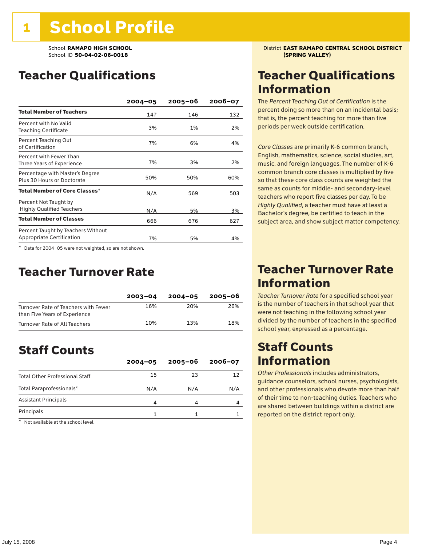School ID 50-04-02-06-0018

## Teacher Qualifications

|                                                                 | $2004 - 05$ | $2005 - 06$ | $2006 - 07$ |
|-----------------------------------------------------------------|-------------|-------------|-------------|
| <b>Total Number of Teachers</b>                                 | 147         | 146         | 132         |
| Percent with No Valid<br><b>Teaching Certificate</b>            | 3%          | 1%          | 2%          |
| Percent Teaching Out<br>of Certification                        | 7%          | 6%          | 4%          |
| Percent with Fewer Than<br>Three Years of Experience            | 7%          | 3%          | 2%          |
| Percentage with Master's Degree<br>Plus 30 Hours or Doctorate   | 50%         | 50%         | 60%         |
| Total Number of Core Classes $^\star$                           | N/A         | 569         | 503         |
| Percent Not Taught by<br><b>Highly Qualified Teachers</b>       | N/A         | 5%          | 3%          |
| <b>Total Number of Classes</b>                                  | 666         | 676         | 627         |
| Percent Taught by Teachers Without<br>Appropriate Certification | 7%          | 5%          | 4%          |

\* Data for 2004–05 were not weighted, so are not shown.

### Teacher Turnover Rate

|                                                                       | $2003 - 04$ | $2004 - 05$ | 2005-06 |
|-----------------------------------------------------------------------|-------------|-------------|---------|
| Turnover Rate of Teachers with Fewer<br>than Five Years of Experience | 16%         | 20%         | 26%     |
| Turnover Rate of All Teachers                                         | 10%         | 13%         | 18%     |

## Staff Counts

|                                       | $2004 - 05$ | $2005 - 06$ | $2006 - 07$ |
|---------------------------------------|-------------|-------------|-------------|
| <b>Total Other Professional Staff</b> | 15          | 23          |             |
| Total Paraprofessionals*              | N/A         | N/A         | N/A         |
| <b>Assistant Principals</b>           | 4           | 4           |             |
| Principals                            |             |             |             |

\* Not available at the school level.

School **RAMAPO HIGH SCHOOL**<br>School ID 50-04-02-06-0018<br>**School ID 50-04-02-06-0018** 

### Teacher Qualifications Information

The *Percent Teaching Out of Certification* is the percent doing so more than on an incidental basis; that is, the percent teaching for more than five periods per week outside certification.

*Core Classes* are primarily K-6 common branch, English, mathematics, science, social studies, art, music, and foreign languages. The number of K-6 common branch core classes is multiplied by five so that these core class counts are weighted the same as counts for middle- and secondary-level teachers who report five classes per day. To be *Highly Qualified*, a teacher must have at least a Bachelor's degree, be certified to teach in the subject area, and show subject matter competency.

### Teacher Turnover Rate Information

*Teacher Turnover Rate* for a specified school year is the number of teachers in that school year that were not teaching in the following school year divided by the number of teachers in the specified school year, expressed as a percentage.

### Staff Counts Information

*Other Professionals* includes administrators, guidance counselors, school nurses, psychologists, and other professionals who devote more than half of their time to non-teaching duties. Teachers who are shared between buildings within a district are reported on the district report only.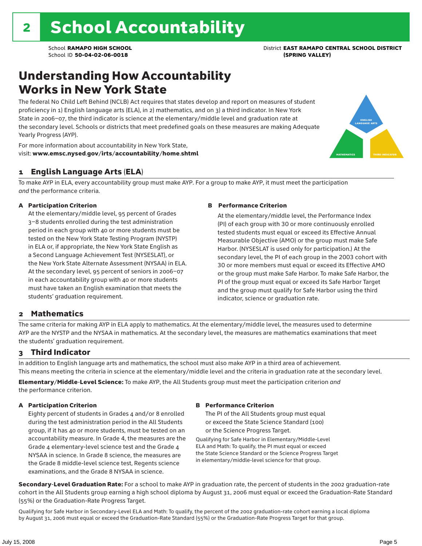## Understanding How Accountability Works in New York State

The federal No Child Left Behind (NCLB) Act requires that states develop and report on measures of student proficiency in 1) English language arts (ELA), in 2) mathematics, and on 3) a third indicator. In New York State in 2006–07, the third indicator is science at the elementary/middle level and graduation rate at the secondary level. Schools or districts that meet predefined goals on these measures are making Adequate Yearly Progress (AYP).



For more information about accountability in New York State, visit: www.emsc.nysed.gov/irts/accountability/home.shtml

### 1 English Language Arts (ELA)

To make AYP in ELA, every accountability group must make AYP. For a group to make AYP, it must meet the participation *and* the performance criteria.

### A Participation Criterion

At the elementary/middle level, 95 percent of Grades 3–8 students enrolled during the test administration period in each group with 40 or more students must be tested on the New York State Testing Program (NYSTP) in ELA or, if appropriate, the New York State English as a Second Language Achievement Test (NYSESLAT), or the New York State Alternate Assessment (NYSAA) in ELA. At the secondary level, 95 percent of seniors in 2006–07 in each accountability group with 40 or more students must have taken an English examination that meets the students' graduation requirement.

#### B Performance Criterion

At the elementary/middle level, the Performance Index (PI) of each group with 30 or more continuously enrolled tested students must equal or exceed its Effective Annual Measurable Objective (AMO) or the group must make Safe Harbor. (NYSESLAT is used only for participation.) At the secondary level, the PI of each group in the 2003 cohort with 30 or more members must equal or exceed its Effective AMO or the group must make Safe Harbor. To make Safe Harbor, the PI of the group must equal or exceed its Safe Harbor Target and the group must qualify for Safe Harbor using the third indicator, science or graduation rate.

### 2 Mathematics

The same criteria for making AYP in ELA apply to mathematics. At the elementary/middle level, the measures used to determine AYP are the NYSTP and the NYSAA in mathematics. At the secondary level, the measures are mathematics examinations that meet the students' graduation requirement.

### 3 Third Indicator

In addition to English language arts and mathematics, the school must also make AYP in a third area of achievement. This means meeting the criteria in science at the elementary/middle level and the criteria in graduation rate at the secondary level.

Elementary/Middle-Level Science: To make AYP, the All Students group must meet the participation criterion *and* the performance criterion.

### A Participation Criterion

Eighty percent of students in Grades 4 and/or 8 enrolled during the test administration period in the All Students group, if it has 40 or more students, must be tested on an accountability measure. In Grade 4, the measures are the Grade 4 elementary-level science test and the Grade 4 NYSAA in science. In Grade 8 science, the measures are the Grade 8 middle-level science test, Regents science examinations, and the Grade 8 NYSAA in science.

#### B Performance Criterion

The PI of the All Students group must equal or exceed the State Science Standard (100) or the Science Progress Target.

Qualifying for Safe Harbor in Elementary/Middle-Level ELA and Math: To qualify, the PI must equal or exceed the State Science Standard or the Science Progress Target in elementary/middle-level science for that group.

Secondary-Level Graduation Rate: For a school to make AYP in graduation rate, the percent of students in the 2002 graduation-rate cohort in the All Students group earning a high school diploma by August 31, 2006 must equal or exceed the Graduation-Rate Standard (55%) or the Graduation-Rate Progress Target.

Qualifying for Safe Harbor in Secondary-Level ELA and Math: To qualify, the percent of the 2002 graduation-rate cohort earning a local diploma by August 31, 2006 must equal or exceed the Graduation-Rate Standard (55%) or the Graduation-Rate Progress Target for that group.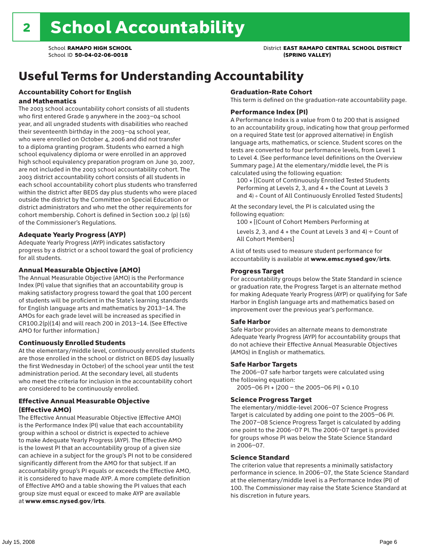### School **RAMAPO HIGH SCHOOL** District **EAST RAMAPO CENTRAL SCHOOL DISTRICT**

## Useful Terms for Understanding Accountability

#### Accountability Cohort for English and Mathematics

The 2003 school accountability cohort consists of all students who first entered Grade 9 anywhere in the 2003–04 school year, and all ungraded students with disabilities who reached their seventeenth birthday in the 2003–04 school year, who were enrolled on October 4, 2006 and did not transfer to a diploma granting program. Students who earned a high school equivalency diploma or were enrolled in an approved high school equivalency preparation program on June 30, 2007, are not included in the 2003 school accountability cohort. The 2003 district accountability cohort consists of all students in each school accountability cohort plus students who transferred within the district after BEDS day plus students who were placed outside the district by the Committee on Special Education or district administrators and who met the other requirements for cohort membership. Cohort is defined in Section 100.2 (p) (16) of the Commissioner's Regulations.

#### Adequate Yearly Progress (AYP)

Adequate Yearly Progress (AYP) indicates satisfactory progress by a district or a school toward the goal of proficiency for all students.

#### Annual Measurable Objective (AMO)

The Annual Measurable Objective (AMO) is the Performance Index (PI) value that signifies that an accountability group is making satisfactory progress toward the goal that 100 percent of students will be proficient in the State's learning standards for English language arts and mathematics by 2013–14. The AMOs for each grade level will be increased as specified in CR100.2(p)(14) and will reach 200 in 2013–14. (See Effective AMO for further information.)

#### Continuously Enrolled Students

At the elementary/middle level, continuously enrolled students are those enrolled in the school or district on BEDS day (usually the first Wednesday in October) of the school year until the test administration period. At the secondary level, all students who meet the criteria for inclusion in the accountability cohort are considered to be continuously enrolled.

### Effective Annual Measurable Objective (Effective AMO)

The Effective Annual Measurable Objective (Effective AMO) is the Performance Index (PI) value that each accountability group within a school or district is expected to achieve to make Adequate Yearly Progress (AYP). The Effective AMO is the lowest PI that an accountability group of a given size can achieve in a subject for the group's PI not to be considered significantly different from the AMO for that subject. If an accountability group's PI equals or exceeds the Effective AMO, it is considered to have made AYP. A more complete definition of Effective AMO and a table showing the PI values that each group size must equal or exceed to make AYP are available at www.emsc.nysed.gov/irts.

#### Graduation-Rate Cohort

This term is defined on the graduation-rate accountability page.

#### Performance Index (PI)

A Performance Index is a value from 0 to 200 that is assigned to an accountability group, indicating how that group performed on a required State test (or approved alternative) in English language arts, mathematics, or science. Student scores on the tests are converted to four performance levels, from Level 1 to Level 4. (See performance level definitions on the Overview Summary page.) At the elementary/middle level, the PI is calculated using the following equation:

100 × [(Count of Continuously Enrolled Tested Students Performing at Levels 2, 3, and 4 + the Count at Levels 3 and 4) ÷ Count of All Continuously Enrolled Tested Students]

At the secondary level, the PI is calculated using the following equation:

100 × [(Count of Cohort Members Performing at

Levels 2, 3, and 4 + the Count at Levels 3 and 4)  $\div$  Count of All Cohort Members]

A list of tests used to measure student performance for accountability is available at www.emsc.nysed.gov/irts.

#### Progress Target

For accountability groups below the State Standard in science or graduation rate, the Progress Target is an alternate method for making Adequate Yearly Progress (AYP) or qualifying for Safe Harbor in English language arts and mathematics based on improvement over the previous year's performance.

#### Safe Harbor

Safe Harbor provides an alternate means to demonstrate Adequate Yearly Progress (AYP) for accountability groups that do not achieve their Effective Annual Measurable Objectives (AMOs) in English or mathematics.

#### Safe Harbor Targets

The 2006–07 safe harbor targets were calculated using the following equation:

2005–06 PI + (200 – the 2005–06 PI) × 0.10

#### Science Progress Target

The elementary/middle-level 2006–07 Science Progress Target is calculated by adding one point to the 2005–06 PI. The 2007–08 Science Progress Target is calculated by adding one point to the 2006–07 PI. The 2006–07 target is provided for groups whose PI was below the State Science Standard in 2006–07.

#### Science Standard

The criterion value that represents a minimally satisfactory performance in science. In 2006–07, the State Science Standard at the elementary/middle level is a Performance Index (PI) of 100. The Commissioner may raise the State Science Standard at his discretion in future years.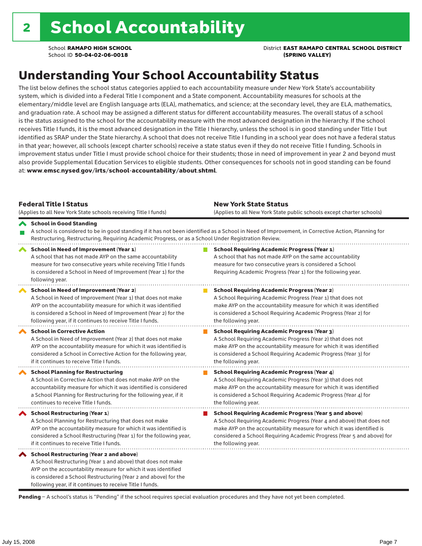School **RAMAPO HIGH SCHOOL** District **EAST RAMAPO CENTRAL SCHOOL DISTRICT**

## Understanding Your School Accountability Status

The list below defines the school status categories applied to each accountability measure under New York State's accountability system, which is divided into a Federal Title I component and a State component. Accountability measures for schools at the elementary/middle level are English language arts (ELA), mathematics, and science; at the secondary level, they are ELA, mathematics, and graduation rate. A school may be assigned a different status for different accountability measures. The overall status of a school is the status assigned to the school for the accountability measure with the most advanced designation in the hierarchy. If the school receives Title I funds, it is the most advanced designation in the Title I hierarchy, unless the school is in good standing under Title I but identified as SRAP under the State hierarchy. A school that does not receive Title I funding in a school year does not have a federal status in that year; however, all schools (except charter schools) receive a state status even if they do not receive Title I funding. Schools in improvement status under Title I must provide school choice for their students; those in need of improvement in year 2 and beyond must also provide Supplemental Education Services to eligible students. Other consequences for schools not in good standing can be found at: www.emsc.nysed.gov/irts/school-accountability/about.shtml.

| <b>Federal Title I Status</b><br>(Applies to all New York State schools receiving Title I funds)                                                                                                                                                                                                             | <b>New York State Status</b><br>(Applies to all New York State public schools except charter schools)                                                                                                                                                                                                           |
|--------------------------------------------------------------------------------------------------------------------------------------------------------------------------------------------------------------------------------------------------------------------------------------------------------------|-----------------------------------------------------------------------------------------------------------------------------------------------------------------------------------------------------------------------------------------------------------------------------------------------------------------|
| School in Good Standing<br>Restructuring, Restructuring, Requiring Academic Progress, or as a School Under Registration Review.                                                                                                                                                                              | A school is considered to be in good standing if it has not been identified as a School in Need of Improvement, in Corrective Action, Planning for                                                                                                                                                              |
| School in Need of Improvement (Year 1)<br>A school that has not made AYP on the same accountability<br>measure for two consecutive years while receiving Title I funds<br>is considered a School in Need of Improvement (Year 1) for the<br>following year.                                                  | <b>School Requiring Academic Progress (Year 1)</b><br>A school that has not made AYP on the same accountability<br>measure for two consecutive years is considered a School<br>Requiring Academic Progress (Year 1) for the following year.                                                                     |
| <b>School in Need of Improvement (Year 2)</b><br>A School in Need of Improvement (Year 1) that does not make<br>AYP on the accountability measure for which it was identified<br>is considered a School in Need of Improvement (Year 2) for the<br>following year, if it continues to receive Title I funds. | <b>School Requiring Academic Progress (Year 2)</b><br>A School Requiring Academic Progress (Year 1) that does not<br>make AYP on the accountability measure for which it was identified<br>is considered a School Requiring Academic Progress (Year 2) for<br>the following year.                               |
| <b>School in Corrective Action</b><br>A School in Need of Improvement (Year 2) that does not make<br>AYP on the accountability measure for which it was identified is<br>considered a School in Corrective Action for the following year,<br>if it continues to receive Title I funds.                       | <b>School Requiring Academic Progress (Year 3)</b><br>A School Requiring Academic Progress (Year 2) that does not<br>make AYP on the accountability measure for which it was identified<br>is considered a School Requiring Academic Progress (Year 3) for<br>the following year.                               |
| <b>School Planning for Restructuring</b><br>A School in Corrective Action that does not make AYP on the<br>accountability measure for which it was identified is considered<br>a School Planning for Restructuring for the following year, if it<br>continues to receive Title I funds.                      | <b>School Requiring Academic Progress (Year 4)</b><br>A School Requiring Academic Progress (Year 3) that does not<br>make AYP on the accountability measure for which it was identified<br>is considered a School Requiring Academic Progress (Year 4) for<br>the following year.                               |
| <b>School Restructuring (Year 1)</b><br>A School Planning for Restructuring that does not make<br>AYP on the accountability measure for which it was identified is<br>considered a School Restructuring (Year 1) for the following year,<br>if it continues to receive Title I funds.                        | <b>School Requiring Academic Progress (Year 5 and above)</b><br>A School Requiring Academic Progress (Year 4 and above) that does not<br>make AYP on the accountability measure for which it was identified is<br>considered a School Requiring Academic Progress (Year 5 and above) for<br>the following year. |
| School Restructuring (Year 2 and above)<br>A School Restructuring (Year 1 and above) that does not make<br>AYP on the accountability measure for which it was identified<br>is considered a School Restructuring (Year 2 and above) for the<br>following year, if it continues to receive Title I funds.     |                                                                                                                                                                                                                                                                                                                 |

Pending - A school's status is "Pending" if the school requires special evaluation procedures and they have not yet been completed.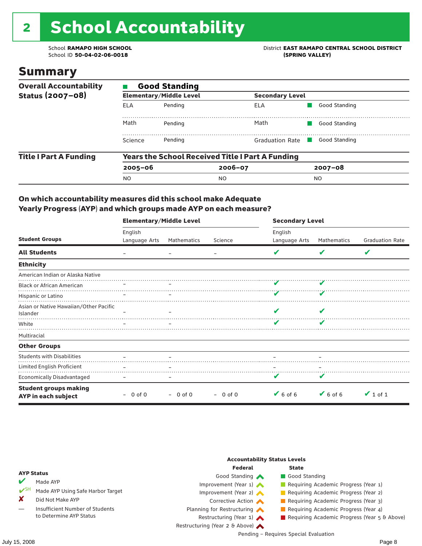# 2 School Accountability

School ID 50-04-02-06-0018

School **RAMAPO HIGH SCHOOL**<br>School ID 50-04-02-06-0018<br>
School ID 50-04-02-06-0018

### Summary

| <b>Overall Accountability</b> | <b>Good Standing</b> |                                |                                                         |               |  |  |  |  |
|-------------------------------|----------------------|--------------------------------|---------------------------------------------------------|---------------|--|--|--|--|
| Status (2007-08)              |                      | <b>Elementary/Middle Level</b> | <b>Secondary Level</b>                                  |               |  |  |  |  |
|                               | ELA                  | Pending                        | ELA                                                     | Good Standing |  |  |  |  |
|                               | Math                 | Pending                        | Math                                                    | Good Standing |  |  |  |  |
|                               | Science              | Pending                        | <b>Graduation Rate</b>                                  | Good Standing |  |  |  |  |
| <b>Title I Part A Funding</b> |                      |                                | <b>Years the School Received Title I Part A Funding</b> |               |  |  |  |  |
|                               | $2005 - 06$          |                                | $2006 - 07$                                             | $2007 - 08$   |  |  |  |  |
|                               | <b>NO</b>            |                                | N <sub>O</sub>                                          | <b>NO</b>     |  |  |  |  |

### On which accountability measures did this school make Adequate Yearly Progress (AYP) and which groups made AYP on each measure?

|                                                     | <b>Elementary/Middle Level</b> |             |           | <b>Secondary Level</b> |             |                        |  |
|-----------------------------------------------------|--------------------------------|-------------|-----------|------------------------|-------------|------------------------|--|
|                                                     | English                        |             |           | English                |             |                        |  |
| <b>Student Groups</b>                               | Language Arts                  | Mathematics | Science   | Language Arts          | Mathematics | <b>Graduation Rate</b> |  |
| <b>All Students</b>                                 |                                |             |           |                        |             | V                      |  |
| <b>Ethnicity</b>                                    |                                |             |           |                        |             |                        |  |
| American Indian or Alaska Native                    |                                |             |           |                        |             |                        |  |
| <b>Black or African American</b>                    |                                |             |           |                        |             |                        |  |
| Hispanic or Latino                                  |                                |             |           |                        |             |                        |  |
| Asian or Native Hawaiian/Other Pacific<br>Islander  |                                |             |           |                        |             |                        |  |
| White                                               |                                |             |           | v                      |             |                        |  |
| Multiracial                                         |                                |             |           |                        |             |                        |  |
| <b>Other Groups</b>                                 |                                |             |           |                        |             |                        |  |
| <b>Students with Disabilities</b>                   |                                |             |           |                        |             |                        |  |
| Limited English Proficient                          |                                |             |           |                        |             |                        |  |
| <b>Economically Disadvantaged</b>                   |                                |             |           | v                      | v           |                        |  |
| <b>Student groups making</b><br>AYP in each subject | $-0$ of 0                      | $-$ 0 of 0  | $-0$ of 0 | $6$ of 6               | $V$ 6 of 6  | $\vee$ 1 of 1          |  |

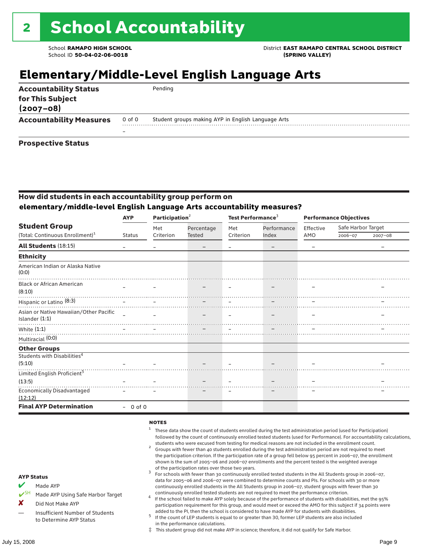## **Elementary/Middle-Level English Language Arts**

| <b>Accountability Status</b><br>for This Subject<br>$(2007 - 08)$ |        | Pending                                            |
|-------------------------------------------------------------------|--------|----------------------------------------------------|
| <b>Accountability Measures</b>                                    | 0 of 0 | Student groups making AYP in English Language Arts |
|                                                                   |        |                                                    |
| <b>Prospective Status</b>                                         |        |                                                    |

### How did students in each accountability group perform on **elementary/middle-level English Language Arts accountability measures?**

|                                                            | <b>AYP</b>    | Participation <sup>2</sup>                                                                                      |            | Test Performance <sup>3</sup> |             | <b>Performance Objectives</b> |                    |             |
|------------------------------------------------------------|---------------|-----------------------------------------------------------------------------------------------------------------|------------|-------------------------------|-------------|-------------------------------|--------------------|-------------|
| <b>Student Group</b>                                       |               | Met                                                                                                             | Percentage | Met                           | Performance | Effective                     | Safe Harbor Target |             |
| (Total: Continuous Enrollment) <sup>1</sup>                | <b>Status</b> | Criterion                                                                                                       | Tested     | Criterion                     | Index       | AMO                           | 2006-07            | $2007 - 08$ |
| All Students (18:15)                                       |               |                                                                                                                 |            |                               | -           |                               |                    |             |
| <b>Ethnicity</b>                                           |               |                                                                                                                 |            |                               |             |                               |                    |             |
| American Indian or Alaska Native<br>(0:0)                  |               |                                                                                                                 |            |                               |             |                               |                    |             |
| <b>Black or African American</b><br>(8:10)                 |               |                                                                                                                 |            |                               |             |                               |                    |             |
| Hispanic or Latino <sup>(8:3)</sup>                        |               |                                                                                                                 |            |                               |             |                               |                    |             |
| Asian or Native Hawaiian/Other Pacific<br>Islander $(1:1)$ | $\sim$        |                                                                                                                 |            |                               |             |                               |                    |             |
| White (1:1)<br>Multiracial (0:0)                           |               | the contract of the contract of the contract of the contract of the contract of the contract of the contract of |            |                               |             |                               |                    |             |
| <b>Other Groups</b>                                        |               |                                                                                                                 |            |                               |             |                               |                    |             |
| Students with Disabilities <sup>4</sup><br>(5:10)          |               |                                                                                                                 |            |                               |             |                               |                    |             |
| Limited English Proficient <sup>5</sup>                    |               |                                                                                                                 |            |                               |             |                               |                    |             |
| (13:5)                                                     |               |                                                                                                                 |            |                               |             |                               |                    |             |
| <b>Economically Disadvantaged</b><br>(12:12)               |               |                                                                                                                 |            |                               |             |                               |                    |             |
| <b>Final AYP Determination</b>                             | $-0$ of 0     |                                                                                                                 |            |                               |             |                               |                    |             |

#### **NOTES**

- <sup>1</sup> These data show the count of students enrolled during the test administration period (used for Participation) followed by the count of continuously enrolled tested students (used for Performance). For accountability calculations,
- students who were excused from testing for medical reasons are not included in the enrollment count. <sup>2</sup> Groups with fewer than 40 students enrolled during the test administration period are not required to meet the participation criterion. If the participation rate of a group fell below 95 percent in 2006–07, the enrollment shown is the sum of 2005–06 and 2006–07 enrollments and the percent tested is the weighted average
- of the participation rates over those two years.<br><sup>3</sup> For schools with fewer than 30 continuously enrolled tested students in the All Students group in 2006–07, data for 2005–06 and 2006–07 were combined to determine counts and PIs. For schools with 30 or more continuously enrolled students in the All Students group in 2006–07, student groups with fewer than 30
- continuously enrolled tested students are not required to meet the performance criterion. <sup>4</sup> If the school failed to make AYP solely because of the performance of students with disabilities, met the 95% participation requirement for this group, and would meet or exceed the AMO for this subject if 34 points were added to the PI, then the school is considered to have made AYP for students with disabilities.
- $5$  If the count of LEP students is equal to or greater than 30, former LEP students are also included in the performance calculations.
- ‡ This student group did not make AYP in science; therefore, it did not qualify for Safe Harbor.
- Made AYP
	- Made AYP Using Safe Harbor Target
- X Did Not Make AYP
- Insufficient Number of Students to Determine AYP Status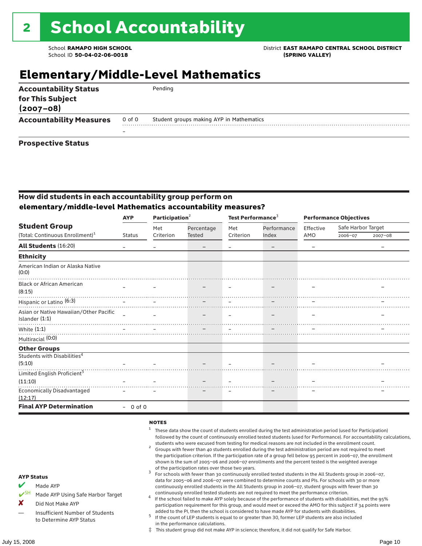### School **RAMAPO HIGH SCHOOL** District **EAST RAMAPO CENTRAL SCHOOL DISTRICT**

### **Elementary/Middle-Level Mathematics**

| <b>Accountability Status</b><br>for This Subject<br>$(2007 - 08)$ |        | Pending                                  |
|-------------------------------------------------------------------|--------|------------------------------------------|
| <b>Accountability Measures</b>                                    | 0 of 0 | Student groups making AYP in Mathematics |
|                                                                   |        |                                          |
| <b>Prospective Status</b>                                         |        |                                          |

### How did students in each accountability group perform on **elementary/middle-level Mathematics accountability measures?**

|                                                          | <b>AYP</b>    |           | Participation <sup>2</sup> |           | Test Performance <sup>3</sup> | <b>Performance Objectives</b> |                    |             |
|----------------------------------------------------------|---------------|-----------|----------------------------|-----------|-------------------------------|-------------------------------|--------------------|-------------|
| <b>Student Group</b>                                     |               | Met       | Percentage                 | Met       | Performance                   | Effective                     | Safe Harbor Target |             |
| (Total: Continuous Enrollment) <sup>1</sup>              | <b>Status</b> | Criterion | Tested                     | Criterion | Index                         | AMO                           | 2006-07            | $2007 - 08$ |
| <b>All Students (16:20)</b>                              |               |           |                            |           | $\qquad \qquad -$             |                               |                    |             |
| <b>Ethnicity</b>                                         |               |           |                            |           |                               |                               |                    |             |
| American Indian or Alaska Native<br>(0:0)                |               |           |                            |           |                               |                               |                    |             |
| <b>Black or African American</b>                         |               |           |                            |           |                               |                               |                    |             |
| (8:15)                                                   |               |           |                            |           |                               |                               |                    |             |
| Hispanic or Latino <sup>(6:3)</sup>                      |               |           |                            |           |                               |                               |                    |             |
| Asian or Native Hawaiian/Other Pacific<br>Islander (1:1) | $\sim$        |           |                            |           |                               |                               |                    |             |
| White $(1:1)$                                            |               |           |                            |           |                               |                               |                    |             |
| Multiracial (0:0)                                        |               |           |                            |           |                               |                               |                    |             |
| <b>Other Groups</b>                                      |               |           |                            |           |                               |                               |                    |             |
| Students with Disabilities <sup>4</sup>                  |               |           |                            |           |                               |                               |                    |             |
| (5:10)                                                   |               |           |                            |           |                               |                               |                    |             |
| Limited English Proficient <sup>5</sup>                  |               |           |                            |           |                               |                               |                    |             |
| (11:10)                                                  |               |           |                            |           |                               |                               |                    |             |
| <b>Economically Disadvantaged</b><br>(12:17)             |               |           |                            |           |                               |                               |                    |             |
| <b>Final AYP Determination</b>                           | $-0$ of $0$   |           |                            |           |                               |                               |                    |             |

#### **NOTES**

- <sup>1</sup> These data show the count of students enrolled during the test administration period (used for Participation) followed by the count of continuously enrolled tested students (used for Performance). For accountability calculations,
- students who were excused from testing for medical reasons are not included in the enrollment count. <sup>2</sup> Groups with fewer than 40 students enrolled during the test administration period are not required to meet the participation criterion. If the participation rate of a group fell below 95 percent in 2006–07, the enrollment shown is the sum of 2005–06 and 2006–07 enrollments and the percent tested is the weighted average
- of the participation rates over those two years.<br><sup>3</sup> For schools with fewer than 30 continuously enrolled tested students in the All Students group in 2006–07, data for 2005–06 and 2006–07 were combined to determine counts and PIs. For schools with 30 or more continuously enrolled students in the All Students group in 2006–07, student groups with fewer than 30
- continuously enrolled tested students are not required to meet the performance criterion. <sup>4</sup> If the school failed to make AYP solely because of the performance of students with disabilities, met the 95% participation requirement for this group, and would meet or exceed the AMO for this subject if 34 points were added to the PI, then the school is considered to have made AYP for students with disabilities.
- $5$  If the count of LEP students is equal to or greater than 30, former LEP students are also included in the performance calculations.
- ‡ This student group did not make AYP in science; therefore, it did not qualify for Safe Harbor.
- Made AYP
	- Made AYP Using Safe Harbor Target
- X Did Not Make AYP
- Insufficient Number of Students to Determine AYP Status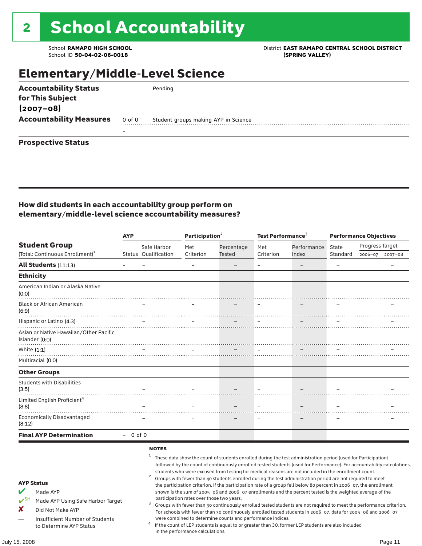School ID 50-04-02-06-0018

### School **RAMAPO HIGH SCHOOL**<br>School ID 50-04-02-06-0018<br>
School ID 50-04-02-06-0018

## Elementary/Middle-Level Science

| <b>Accountability Status</b>   |        | Pending                              |
|--------------------------------|--------|--------------------------------------|
| for This Subject               |        |                                      |
| $(2007 - 08)$                  |        |                                      |
| <b>Accountability Measures</b> | 0 of 0 | Student groups making AYP in Science |
|                                | –      |                                      |
| <b>Prospective Status</b>      |        |                                      |

### How did students in each accountability group perform on elementary/middle-level science accountability measures?

|                                                                                                                | <b>AYP</b>               |                                                   |                                           | Participation <sup>2</sup> |                          | Test Performance <sup>3</sup>                                                                                                                                                                                                                                                                                                                                                                                                                                                                                                                                                                                                                                                                                                                                                                                                                                                                                                             | <b>Performance Objectives</b> |                 |                 |
|----------------------------------------------------------------------------------------------------------------|--------------------------|---------------------------------------------------|-------------------------------------------|----------------------------|--------------------------|-------------------------------------------------------------------------------------------------------------------------------------------------------------------------------------------------------------------------------------------------------------------------------------------------------------------------------------------------------------------------------------------------------------------------------------------------------------------------------------------------------------------------------------------------------------------------------------------------------------------------------------------------------------------------------------------------------------------------------------------------------------------------------------------------------------------------------------------------------------------------------------------------------------------------------------------|-------------------------------|-----------------|-----------------|
| <b>Student Group</b>                                                                                           |                          | Safe Harbor                                       | Met                                       | Percentage                 | Met                      | Performance                                                                                                                                                                                                                                                                                                                                                                                                                                                                                                                                                                                                                                                                                                                                                                                                                                                                                                                               | State                         | Progress Target |                 |
| (Total: Continuous Enrollment) <sup>1</sup>                                                                    |                          | Status Qualification                              | Criterion                                 | Tested                     | Criterion                | Index                                                                                                                                                                                                                                                                                                                                                                                                                                                                                                                                                                                                                                                                                                                                                                                                                                                                                                                                     | Standard                      |                 | 2006-07 2007-08 |
| All Students (11:13)                                                                                           | $\overline{\phantom{m}}$ |                                                   | $\overline{\phantom{m}}$                  |                            | $\overline{\phantom{0}}$ |                                                                                                                                                                                                                                                                                                                                                                                                                                                                                                                                                                                                                                                                                                                                                                                                                                                                                                                                           | $\equiv$                      |                 |                 |
| <b>Ethnicity</b>                                                                                               |                          |                                                   |                                           |                            |                          |                                                                                                                                                                                                                                                                                                                                                                                                                                                                                                                                                                                                                                                                                                                                                                                                                                                                                                                                           |                               |                 |                 |
| American Indian or Alaska Native<br>(0:0)                                                                      |                          |                                                   |                                           |                            |                          |                                                                                                                                                                                                                                                                                                                                                                                                                                                                                                                                                                                                                                                                                                                                                                                                                                                                                                                                           |                               |                 |                 |
| <b>Black or African American</b><br>(6:9)                                                                      |                          |                                                   |                                           |                            |                          |                                                                                                                                                                                                                                                                                                                                                                                                                                                                                                                                                                                                                                                                                                                                                                                                                                                                                                                                           |                               |                 |                 |
| Hispanic or Latino (4:3)                                                                                       |                          |                                                   |                                           |                            |                          |                                                                                                                                                                                                                                                                                                                                                                                                                                                                                                                                                                                                                                                                                                                                                                                                                                                                                                                                           |                               |                 |                 |
| Asian or Native Hawaiian/Other Pacific<br>Islander (0:0)                                                       |                          |                                                   |                                           |                            |                          |                                                                                                                                                                                                                                                                                                                                                                                                                                                                                                                                                                                                                                                                                                                                                                                                                                                                                                                                           |                               |                 |                 |
| White $(1:1)$                                                                                                  |                          |                                                   |                                           |                            |                          |                                                                                                                                                                                                                                                                                                                                                                                                                                                                                                                                                                                                                                                                                                                                                                                                                                                                                                                                           |                               |                 |                 |
| Multiracial (0:0)                                                                                              |                          |                                                   |                                           |                            |                          |                                                                                                                                                                                                                                                                                                                                                                                                                                                                                                                                                                                                                                                                                                                                                                                                                                                                                                                                           |                               |                 |                 |
| <b>Other Groups</b>                                                                                            |                          |                                                   |                                           |                            |                          |                                                                                                                                                                                                                                                                                                                                                                                                                                                                                                                                                                                                                                                                                                                                                                                                                                                                                                                                           |                               |                 |                 |
| <b>Students with Disabilities</b><br>(3:5)                                                                     |                          |                                                   |                                           |                            |                          |                                                                                                                                                                                                                                                                                                                                                                                                                                                                                                                                                                                                                                                                                                                                                                                                                                                                                                                                           |                               |                 |                 |
| Limited English Proficient <sup>4</sup><br>(8:8)                                                               |                          |                                                   |                                           |                            |                          |                                                                                                                                                                                                                                                                                                                                                                                                                                                                                                                                                                                                                                                                                                                                                                                                                                                                                                                                           |                               |                 |                 |
| <b>Economically Disadvantaged</b><br>(8:12)                                                                    |                          |                                                   |                                           |                            |                          |                                                                                                                                                                                                                                                                                                                                                                                                                                                                                                                                                                                                                                                                                                                                                                                                                                                                                                                                           |                               |                 |                 |
| <b>Final AYP Determination</b>                                                                                 | $-0$ of 0                |                                                   |                                           |                            |                          |                                                                                                                                                                                                                                                                                                                                                                                                                                                                                                                                                                                                                                                                                                                                                                                                                                                                                                                                           |                               |                 |                 |
| <b>AYP Status</b><br>Made AYP<br>$V^{\text{SH}}$<br>Made AYP Using Safe Harbor Target<br>X<br>Did Not Make AYP |                          | <b>NOTES</b><br>1<br>$\overline{\mathbf{c}}$<br>3 | participation rates over those two years. |                            |                          | These data show the count of students enrolled during the test administration period (used for Participation)<br>followed by the count of continuously enrolled tested students (used for Performance). For accountability calculations,<br>students who were excused from testing for medical reasons are not included in the enrollment count.<br>Groups with fewer than 40 students enrolled during the test administration period are not required to meet<br>the participation criterion. If the participation rate of a group fell below 80 percent in 2006-07, the enrollment<br>shown is the sum of 2005-06 and 2006-07 enrollments and the percent tested is the weighted average of the<br>Groups with fewer than 30 continuously enrolled tested students are not required to meet the performance criterion.<br>For schools with fewer than 30 continuously enrolled tested students in 2006-07, data for 2005-06 and 2006-07 |                               |                 |                 |

in the performance calculations.

were combined to determine counts and performance indices. <sup>4</sup> If the count of LEP students is equal to or greater than 30, former LEP students are also included

— Insufficient Number of Students to Determine AYP Status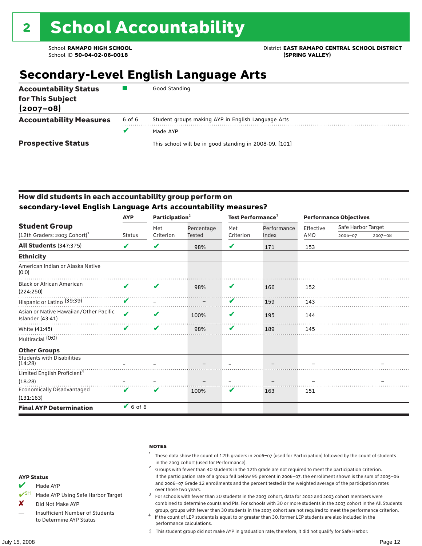### School **RAMAPO HIGH SCHOOL** District **EAST RAMAPO CENTRAL SCHOOL DISTRICT**

## **Secondary-Level English Language Arts**

| <b>Accountability Status</b><br>for This Subject<br>$(2007 - 08)$ |        | Good Standing                                          |
|-------------------------------------------------------------------|--------|--------------------------------------------------------|
| <b>Accountability Measures</b>                                    | 6 of 6 | Student groups making AYP in English Language Arts     |
|                                                                   | v      | Made AYP                                               |
| <b>Prospective Status</b>                                         |        | This school will be in good standing in 2008-09. [101] |

### How did students in each accountability group perform on **secondary-level English Language Arts accountability measures?**

|                                                            | <b>AYP</b>    | Participation <sup>2</sup> |            | Test Performance <sup>3</sup> |             | <b>Performance Objectives</b> |                    |         |
|------------------------------------------------------------|---------------|----------------------------|------------|-------------------------------|-------------|-------------------------------|--------------------|---------|
| <b>Student Group</b>                                       |               | Met                        | Percentage | Met                           | Performance | Effective                     | Safe Harbor Target |         |
| $(12th$ Graders: 2003 Cohort) <sup>1</sup>                 | <b>Status</b> | Criterion                  | Tested     | Criterion                     | Index       | AMO                           | 2006-07            | 2007-08 |
| All Students (347:375)                                     | ✔             | V                          | 98%        | V                             | 171         | 153                           |                    |         |
| <b>Ethnicity</b>                                           |               |                            |            |                               |             |                               |                    |         |
| American Indian or Alaska Native<br>(0:0)                  |               |                            |            |                               |             |                               |                    |         |
| <b>Black or African American</b><br>(224:250)              |               | v                          | 98%        | V                             | 166         | 152                           |                    |         |
| Hispanic or Latino (39:39)                                 |               |                            |            | V                             | 159         | 143                           |                    |         |
| Asian or Native Hawaiian/Other Pacific<br>Islander (43:41) | ✔             | V                          | 100%       | V                             | 195         | 144                           |                    |         |
| White (41:45)                                              |               | V                          | 98%        | ✔                             | 189         | 145                           |                    |         |
| Multiracial (0:0)                                          |               |                            |            |                               |             |                               |                    |         |
| <b>Other Groups</b>                                        |               |                            |            |                               |             |                               |                    |         |
| <b>Students with Disabilities</b><br>(14:28)               |               |                            |            |                               |             |                               |                    |         |
| Limited English Proficient <sup>4</sup>                    |               |                            |            |                               |             |                               |                    |         |
| (18:28)                                                    |               |                            |            |                               |             |                               |                    |         |
| <b>Economically Disadvantaged</b><br>(131:163)             | ✔             | V                          | 100%       | V                             | 163         | 151                           |                    |         |
| <b>Final AYP Determination</b>                             | $6$ of 6      |                            |            |                               |             |                               |                    |         |

#### **NOTES**

- <sup>1</sup> These data show the count of 12th graders in 2006–07 (used for Participation) followed by the count of students
- in the 2003 cohort (used for Performance).<br><sup>2</sup> Groups with fewer than 40 students in the 12th grade are not required to meet the participation criterion. If the participation rate of a group fell below 95 percent in 2006–07, the enrollment shown is the sum of 2005–06 and 2006–07 Grade 12 enrollments and the percent tested is the weighted average of the participation rates
- over those two years.  $^3$  For schools with fewer than 30 students in the 2003 cohort, data for 2002 and 2003 cohort members were combined to determine counts and PIs. For schools with 30 or more students in the 2003 cohort in the All Students
- group, groups with fewer than 30 students in the 2003 cohort are not required to meet the performance criterion. <sup>4</sup> If the count of LEP students is equal to or greater than 30, former LEP students are also included in the performance calculations.
- ‡ This student group did not make AYP in graduation rate; therefore, it did not qualify for Safe Harbor.
- $M$  Made AYP
- ✔SH Made AYP Using Safe Harbor Target
- X Did Not Make AYP
- Insufficient Number of Students to Determine AYP Status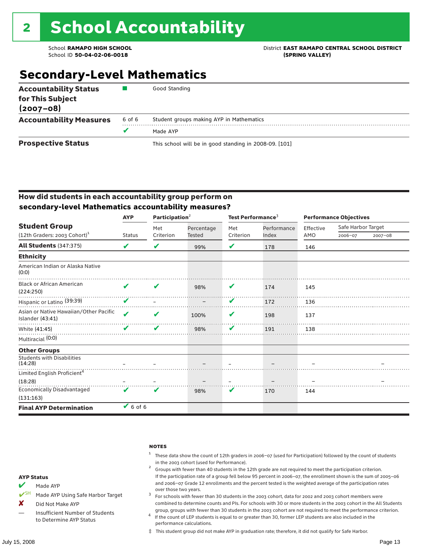### School **RAMAPO HIGH SCHOOL** District **EAST RAMAPO CENTRAL SCHOOL DISTRICT**

## **Secondary-Level Mathematics**

| <b>Accountability Status</b><br>for This Subject<br>$(2007 - 08)$ |        | Good Standing                                          |
|-------------------------------------------------------------------|--------|--------------------------------------------------------|
| <b>Accountability Measures</b>                                    | 6 of 6 | Student groups making AYP in Mathematics               |
|                                                                   |        | Made AYP                                               |
| <b>Prospective Status</b>                                         |        | This school will be in good standing in 2008-09. [101] |

### How did students in each accountability group perform on **secondary-level Mathematics accountability measures?**

|                                                            | <b>AYP</b>    | Participation <sup>2</sup> |            | Test Performance <sup>3</sup> |             | <b>Performance Objectives</b> |                    |             |
|------------------------------------------------------------|---------------|----------------------------|------------|-------------------------------|-------------|-------------------------------|--------------------|-------------|
| <b>Student Group</b>                                       |               | Met                        | Percentage | Met                           | Performance | Effective                     | Safe Harbor Target |             |
| (12th Graders: 2003 Cohort) <sup>1</sup>                   | <b>Status</b> | Criterion                  | Tested     | Criterion                     | Index       | AMO                           | 2006-07            | $2007 - 08$ |
| <b>All Students (347:375)</b>                              | V             | V                          | 99%        | V                             | 178         | 146                           |                    |             |
| <b>Ethnicity</b>                                           |               |                            |            |                               |             |                               |                    |             |
| American Indian or Alaska Native<br>(0:0)                  |               |                            |            |                               |             |                               |                    |             |
| <b>Black or African American</b><br>(224:250)              | V             | V                          | 98%        | V                             | 174         | 145                           |                    |             |
| Hispanic or Latino (39:39)                                 | v             |                            |            | V                             | 172         | 136                           |                    |             |
| Asian or Native Hawaiian/Other Pacific<br>Islander (43:41) | ✔             | V                          | 100%       | V                             | 198         | 137                           |                    |             |
| White (41:45)                                              |               | ✔                          | 98%        | V                             | 191         | 138                           |                    |             |
| Multiracial (0:0)                                          |               |                            |            |                               |             |                               |                    |             |
| <b>Other Groups</b>                                        |               |                            |            |                               |             |                               |                    |             |
| <b>Students with Disabilities</b><br>(14:28)               |               |                            |            |                               |             |                               |                    |             |
| Limited English Proficient <sup>4</sup>                    |               |                            |            |                               |             |                               |                    |             |
| (18:28)                                                    |               |                            |            |                               |             |                               |                    |             |
| <b>Economically Disadvantaged</b>                          | ✔             | V                          | 98%        | V                             | 170         | 144                           |                    |             |
| (131:163)                                                  |               |                            |            |                               |             |                               |                    |             |
| <b>Final AYP Determination</b>                             | $6$ of 6      |                            |            |                               |             |                               |                    |             |

#### **NOTES**

- <sup>1</sup> These data show the count of 12th graders in 2006–07 (used for Participation) followed by the count of students
- in the 2003 cohort (used for Performance).<br><sup>2</sup> Groups with fewer than 40 students in the 12th grade are not required to meet the participation criterion. If the participation rate of a group fell below 95 percent in 2006–07, the enrollment shown is the sum of 2005–06 and 2006–07 Grade 12 enrollments and the percent tested is the weighted average of the participation rates
- over those two years.  $^3$  For schools with fewer than 30 students in the 2003 cohort, data for 2002 and 2003 cohort members were combined to determine counts and PIs. For schools with 30 or more students in the 2003 cohort in the All Students
- group, groups with fewer than 30 students in the 2003 cohort are not required to meet the performance criterion. <sup>4</sup> If the count of LEP students is equal to or greater than 30, former LEP students are also included in the performance calculations.
- ‡ This student group did not make AYP in graduation rate; therefore, it did not qualify for Safe Harbor.
- $M$  Made AYP
- ✔SH Made AYP Using Safe Harbor Target
- X Did Not Make AYP
- Insufficient Number of Students to Determine AYP Status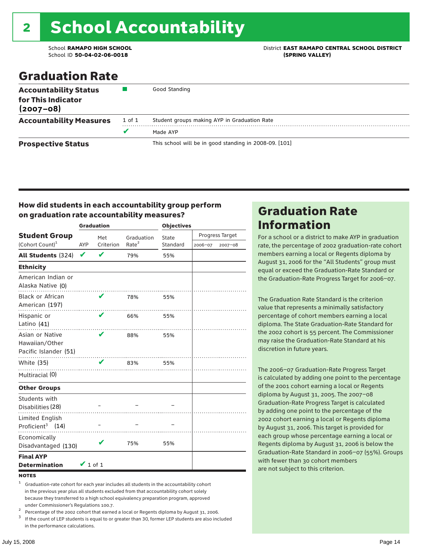# 2 School Accountability

School ID **50-04-02-06-0018 (SPRING VALLEY)**

School **RAMAPO HIGH SCHOOL** District **EAST RAMAPO CENTRAL SCHOOL DISTRICT**

## Graduation Rate

| <b>Accountability Status</b><br>for This Indicator<br>$(2007 - 08)$ |        | Good Standing                                          |
|---------------------------------------------------------------------|--------|--------------------------------------------------------|
| <b>Accountability Measures</b>                                      | 1 of 1 | Student groups making AYP in Graduation Rate           |
|                                                                     | v      | Made AYP                                               |
| <b>Prospective Status</b>                                           |        | This school will be in good standing in 2008-09. [101] |

### How did students in each accountability group perform on graduation rate accountability measures?

|                                                            |               | <b>Graduation</b> |                   | <b>Objectives</b> |         |                 |  |
|------------------------------------------------------------|---------------|-------------------|-------------------|-------------------|---------|-----------------|--|
| <b>Student Group</b>                                       |               | Met               | Graduation        | State             |         | Progress Target |  |
| (Cohort Count) <sup>1</sup>                                | AYP           | Criterion         | Rate <sup>2</sup> | Standard          | 2006-07 | 2007-08         |  |
| All Students (324)                                         | V             | V                 | 79%               | 55%               |         |                 |  |
| <b>Ethnicity</b>                                           |               |                   |                   |                   |         |                 |  |
| American Indian or<br>Alaska Native (0)                    |               |                   |                   |                   |         |                 |  |
| <b>Black or African</b><br>American (197)                  |               | V                 | 78%               | 55%               |         |                 |  |
| Hispanic or<br>Latino (41)                                 |               | ✔                 | 66%               | 55%               |         |                 |  |
| Asian or Native<br>Hawaiian/Other<br>Pacific Islander (51) |               | ✔                 | 88%               | 55%               |         |                 |  |
| White (35)                                                 |               | V                 | 83%               | 55%               |         |                 |  |
| Multiracial (0)                                            |               |                   |                   |                   |         |                 |  |
| <b>Other Groups</b>                                        |               |                   |                   |                   |         |                 |  |
| Students with<br>Disabilities (28)                         |               |                   |                   |                   |         |                 |  |
| Limited English<br>Proficient <sup>3</sup> (14)            |               |                   |                   |                   |         |                 |  |
| Economically<br>Disadvantaged (130)                        |               | v                 | 75%               | 55%               |         |                 |  |
| <b>Final AYP</b><br><b>Determination</b>                   | $\vee$ 1 of 1 |                   |                   |                   |         |                 |  |

#### **NOTES**

<sup>1</sup> Graduation-rate cohort for each year includes all students in the accountability cohort in the previous year plus all students excluded from that accountability cohort solely because they transferred to a high school equivalency preparation program, approved

under Commissioner's Regulations 100.7.<br>
<sup>2</sup> Percentage of the 2002 cohort that earned a local or Regents diploma by August 31, 2006.<br>
<sup>3</sup> If the count of LEP students is equal to or greater than 30, former LEP students a

in the performance calculations.

### Graduation Rate Information

For a school or a district to make AYP in graduation rate, the percentage of 2002 graduation-rate cohort members earning a local or Regents diploma by August 31, 2006 for the "All Students" group must equal or exceed the Graduation-Rate Standard or the Graduation-Rate Progress Target for 2006–07.

The Graduation Rate Standard is the criterion value that represents a minimally satisfactory percentage of cohort members earning a local diploma. The State Graduation-Rate Standard for the 2002 cohort is 55 percent. The Commissioner may raise the Graduation-Rate Standard at his discretion in future years.

The 2006–07 Graduation-Rate Progress Target is calculated by adding one point to the percentage of the 2001 cohort earning a local or Regents diploma by August 31, 2005. The 2007–08 Graduation-Rate Progress Target is calculated by adding one point to the percentage of the 2002 cohort earning a local or Regents diploma by August 31, 2006. This target is provided for each group whose percentage earning a local or Regents diploma by August 31, 2006 is below the Graduation-Rate Standard in 2006–07 (55%). Groups with fewer than 30 cohort members are not subject to this criterion.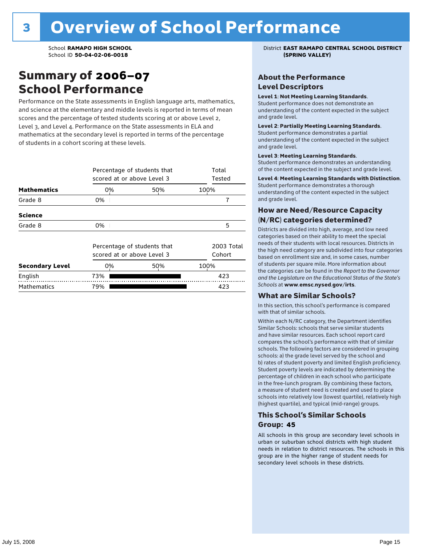### Summary of 2006–07 School Performance

Performance on the State assessments in English language arts, mathematics, and science at the elementary and middle levels is reported in terms of mean scores and the percentage of tested students scoring at or above Level 2, Level 3, and Level 4. Performance on the State assessments in ELA and mathematics at the secondary level is reported in terms of the percentage of students in a cohort scoring at these levels.

|                        |                            | Percentage of students that<br>scored at or above Level 3 |      |                      |  |  |  |  |
|------------------------|----------------------------|-----------------------------------------------------------|------|----------------------|--|--|--|--|
| <b>Mathematics</b>     | 0%                         | 50%                                                       | 100% |                      |  |  |  |  |
| Grade 8                | 0%                         |                                                           |      | 7                    |  |  |  |  |
| <b>Science</b>         |                            |                                                           |      |                      |  |  |  |  |
| Grade 8                | 0%                         |                                                           |      | 5                    |  |  |  |  |
|                        | scored at or above Level 3 | Percentage of students that                               |      | 2003 Total<br>Cohort |  |  |  |  |
| <b>Secondary Level</b> | 0%                         | 50%                                                       | 100% |                      |  |  |  |  |
| English                | 73%                        |                                                           |      | 423                  |  |  |  |  |
| <b>Mathematics</b>     | 79%                        |                                                           |      | 423                  |  |  |  |  |

School **RAMAPO HIGH SCHOOL** District **EAST RAMAPO CENTRAL SCHOOL DISTRICT**

### About the Performance Level Descriptors

#### Level 1: Not Meeting Learning Standards.

Student performance does not demonstrate an understanding of the content expected in the subject and grade level.

#### Level 2: Partially Meeting Learning Standards.

Student performance demonstrates a partial understanding of the content expected in the subject and grade level.

#### Level 3: Meeting Learning Standards.

Student performance demonstrates an understanding of the content expected in the subject and grade level.

#### Level 4: Meeting Learning Standards with Distinction.

Student performance demonstrates a thorough understanding of the content expected in the subject and grade level.

### How are Need/Resource Capacity (N/RC) categories determined?

Districts are divided into high, average, and low need categories based on their ability to meet the special needs of their students with local resources. Districts in the high need category are subdivided into four categories based on enrollment size and, in some cases, number of students per square mile. More information about the categories can be found in the *Report to the Governor and the Legislature on the Educational Status of the State's Schools* at www.emsc.nysed.gov/irts.

#### What are Similar Schools?

In this section, this school's performance is compared with that of similar schools.

Within each N/RC category, the Department identifies Similar Schools: schools that serve similar students and have similar resources. Each school report card compares the school's performance with that of similar schools. The following factors are considered in grouping schools: a) the grade level served by the school and b) rates of student poverty and limited English proficiency. Student poverty levels are indicated by determining the percentage of children in each school who participate in the free-lunch program. By combining these factors, a measure of student need is created and used to place schools into relatively low (lowest quartile), relatively high (highest quartile), and typical (mid-range) groups.

### This School's Similar Schools Group: **45**

All schools in this group are secondary level schools in urban or suburban school districts with high student needs in relation to district resources. The schools in this group are in the higher range of student needs for secondary level schools in these districts.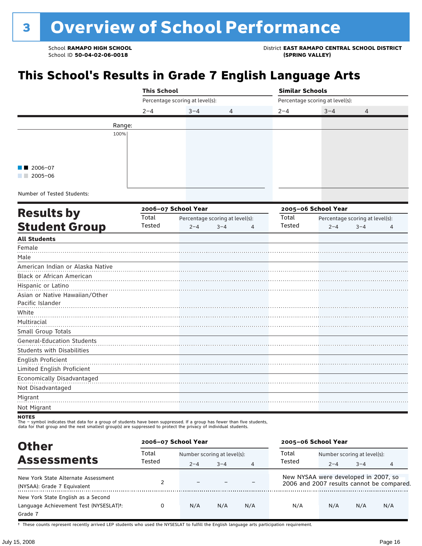School **RAMAPO HIGH SCHOOL** District **EAST RAMAPO CENTRAL SCHOOL DISTRICT**

## **This School's Results in Grade 7 English Language Arts**

|                                   |         | <b>This School</b> |                                 |         |   | <b>Similar Schools</b> |                                 |                                 |   |  |
|-----------------------------------|---------|--------------------|---------------------------------|---------|---|------------------------|---------------------------------|---------------------------------|---|--|
|                                   |         |                    | Percentage scoring at level(s): |         |   |                        | Percentage scoring at level(s): |                                 |   |  |
|                                   | $2 - 4$ |                    | $3 - 4$                         | 4       |   | $2 - 4$                | $3 - 4$                         | 4                               |   |  |
|                                   | Range:  |                    |                                 |         |   |                        |                                 |                                 |   |  |
|                                   | 100%    |                    |                                 |         |   |                        |                                 |                                 |   |  |
|                                   |         |                    |                                 |         |   |                        |                                 |                                 |   |  |
|                                   |         |                    |                                 |         |   |                        |                                 |                                 |   |  |
|                                   |         |                    |                                 |         |   |                        |                                 |                                 |   |  |
| $2006 - 07$                       |         |                    |                                 |         |   |                        |                                 |                                 |   |  |
| $2005 - 06$                       |         |                    |                                 |         |   |                        |                                 |                                 |   |  |
|                                   |         |                    |                                 |         |   |                        |                                 |                                 |   |  |
| Number of Tested Students:        |         |                    |                                 |         |   |                        |                                 |                                 |   |  |
|                                   |         |                    | 2006-07 School Year             |         |   |                        | 2005-06 School Year             |                                 |   |  |
| <b>Results by</b>                 | Total   |                    | Percentage scoring at level(s): |         |   | Total                  |                                 | Percentage scoring at level(s): |   |  |
| <b>Student Group</b>              |         | Tested             | $2 - 4$                         | $3 - 4$ | 4 | Tested                 | $2 - 4$                         | $3 - 4$                         | 4 |  |
| <b>All Students</b>               |         |                    |                                 |         |   |                        |                                 |                                 |   |  |
| Female                            |         |                    |                                 |         |   |                        |                                 |                                 |   |  |
| Male                              |         |                    |                                 |         |   |                        |                                 |                                 |   |  |
| American Indian or Alaska Native  |         |                    |                                 |         |   |                        |                                 |                                 |   |  |
| Black or African American         |         |                    |                                 |         |   |                        |                                 |                                 |   |  |
| Hispanic or Latino                |         |                    |                                 |         |   |                        |                                 |                                 |   |  |
| Asian or Native Hawaiian/Other    |         |                    |                                 |         |   |                        |                                 |                                 |   |  |
| Pacific Islander                  |         |                    |                                 |         |   |                        |                                 |                                 |   |  |
| White                             |         |                    |                                 |         |   |                        |                                 |                                 |   |  |
| Multiracial                       |         |                    |                                 |         |   |                        |                                 |                                 |   |  |
| Small Group Totals                |         |                    |                                 |         |   |                        |                                 |                                 |   |  |
| <b>General-Education Students</b> |         |                    |                                 |         |   |                        |                                 |                                 |   |  |
| <b>Students with Disabilities</b> |         |                    |                                 |         |   |                        |                                 |                                 |   |  |
| English Proficient                |         |                    |                                 |         |   |                        |                                 |                                 |   |  |
| Limited English Proficient        |         |                    |                                 |         |   |                        |                                 |                                 |   |  |
| Economically Disadvantaged        |         |                    |                                 |         |   |                        |                                 |                                 |   |  |
| Not Disadvantaged                 |         |                    |                                 |         |   |                        |                                 |                                 |   |  |
| Migrant                           |         |                    |                                 |         |   |                        |                                 |                                 |   |  |
| Not Migrant                       |         |                    |                                 |         |   |                        |                                 |                                 |   |  |
|                                   |         |                    |                                 |         |   |                        |                                 |                                 |   |  |

NOTES<br>The – symbol indicates that data for a group of students have been suppressed. If a group has fewer than five students,<br>data for that group and the next smallest group(s) are suppressed to protect the privacy of indi

| <b>Other</b>                                                                            | 2006-07 School Year |                             |         |                | 2005-06 School Year                  |                             |         |                                           |
|-----------------------------------------------------------------------------------------|---------------------|-----------------------------|---------|----------------|--------------------------------------|-----------------------------|---------|-------------------------------------------|
| <b>Assessments</b>                                                                      | Total               | Number scoring at level(s): |         |                | Total                                | Number scoring at level(s): |         |                                           |
|                                                                                         | Tested              | $2 - 4$                     | $3 - 4$ | $\overline{4}$ | Tested                               | $2 - 4$                     | $3 - 4$ | 4                                         |
| New York State Alternate Assessment<br>(NYSAA): Grade 7 Equivalent                      |                     |                             |         |                | New NYSAA were developed in 2007, so |                             |         | 2006 and 2007 results cannot be compared. |
| New York State English as a Second<br>Language Achievement Test (NYSESLAT)t:<br>Grade 7 |                     | N/A                         | N/A     | N/A            | N/A                                  | N/A                         | N/A     | N/A                                       |

† These counts represent recently arrived LEP students who used the NYSESLAT to fulfill the English language arts participation requirement.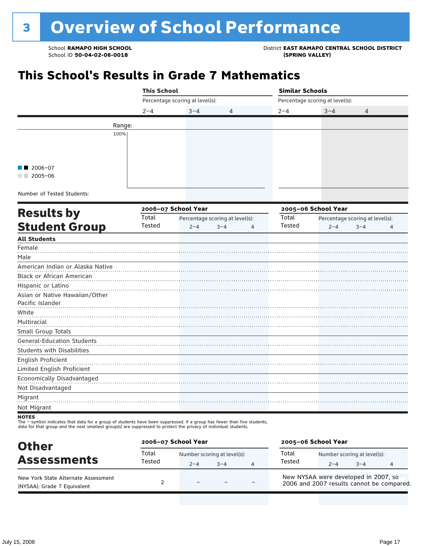School **RAMAPO HIGH SCHOOL**<br>School ID 50-04-02-06-0018<br>
School ID 50-04-02-06-0018

## **This School's Results in Grade 7 Mathematics**

|                                   | <b>This School</b> |                                 |                                 | <b>Similar Schools</b> |                                                                              |   |                |
|-----------------------------------|--------------------|---------------------------------|---------------------------------|------------------------|------------------------------------------------------------------------------|---|----------------|
|                                   |                    | Percentage scoring at level(s): |                                 |                        | Percentage scoring at level(s):                                              |   |                |
|                                   | $2 - 4$            | $3 - 4$                         | 4                               | $2 - 4$                | $3 - 4$                                                                      | 4 |                |
|                                   | Range:             |                                 |                                 |                        |                                                                              |   |                |
|                                   | 100%               |                                 |                                 |                        |                                                                              |   |                |
|                                   |                    |                                 |                                 |                        |                                                                              |   |                |
|                                   |                    |                                 |                                 |                        |                                                                              |   |                |
|                                   |                    |                                 |                                 |                        |                                                                              |   |                |
| 2006-07                           |                    |                                 |                                 |                        |                                                                              |   |                |
| $2005 - 06$                       |                    |                                 |                                 |                        |                                                                              |   |                |
| Number of Tested Students:        |                    |                                 |                                 |                        |                                                                              |   |                |
|                                   |                    |                                 |                                 |                        |                                                                              |   |                |
| <b>Results by</b>                 |                    | 2006-07 School Year             |                                 |                        | 2005-06 School Year<br>Percentage scoring at level(s):<br>$3 - 4$<br>$2 - 4$ |   |                |
|                                   | Total<br>Tested    |                                 | Percentage scoring at level(s): | Total<br>Tested        |                                                                              |   |                |
| <b>Student Group</b>              |                    | $2 - 4$                         | $3 - 4$<br>$\overline{4}$       |                        |                                                                              |   | $\overline{4}$ |
| <b>All Students</b>               |                    |                                 |                                 |                        |                                                                              |   |                |
| Female                            |                    |                                 |                                 |                        |                                                                              |   |                |
| Male                              |                    |                                 |                                 |                        |                                                                              |   |                |
| American Indian or Alaska Native  |                    |                                 |                                 |                        |                                                                              |   |                |
| Black or African American         |                    |                                 |                                 |                        |                                                                              |   |                |
| Hispanic or Latino                |                    |                                 |                                 |                        |                                                                              |   |                |
| Asian or Native Hawaiian/Other    |                    |                                 |                                 |                        |                                                                              |   |                |
| Pacific Islander                  |                    |                                 |                                 |                        |                                                                              |   |                |
| White                             |                    |                                 |                                 |                        |                                                                              |   |                |
| Multiracial                       |                    |                                 |                                 |                        |                                                                              |   |                |
| Small Group Totals                |                    |                                 |                                 |                        |                                                                              |   |                |
| General-Education Students        |                    |                                 |                                 |                        |                                                                              |   |                |
| <b>Students with Disabilities</b> |                    |                                 |                                 |                        |                                                                              |   |                |
| English Proficient                |                    |                                 |                                 |                        |                                                                              |   |                |
| Limited English Proficient        |                    |                                 |                                 |                        |                                                                              |   |                |
| Economically Disadvantaged        |                    |                                 |                                 |                        |                                                                              |   |                |
| Not Disadvantaged                 |                    |                                 |                                 |                        |                                                                              |   |                |
| Migrant                           |                    |                                 |                                 |                        |                                                                              |   |                |
| Not Migrant                       |                    |                                 |                                 |                        |                                                                              |   |                |

The – symbol indicates that data for a group of students have been suppressed. If a group has fewer than five students,<br>data for that group and the next smallest group(s) are suppressed to protect the privacy of individual

| <b>Other</b><br><b>Assessments</b>                                 | 2006-07 School Year |                                        | 2005-06 School Year |                |                                                                                   |         |                                        |  |
|--------------------------------------------------------------------|---------------------|----------------------------------------|---------------------|----------------|-----------------------------------------------------------------------------------|---------|----------------------------------------|--|
|                                                                    | Total<br>Tested     | Number scoring at level(s):<br>$2 - 4$ | $3 - 4$             | $\overline{4}$ | Total<br>Tested                                                                   | $2 - 4$ | Number scoring at level(s):<br>$3 - 4$ |  |
| New York State Alternate Assessment<br>(NYSAA): Grade 7 Equivalent |                     | $\overline{\phantom{0}}$               |                     |                | New NYSAA were developed in 2007, so<br>2006 and 2007 results cannot be compared. |         |                                        |  |

**NOTES**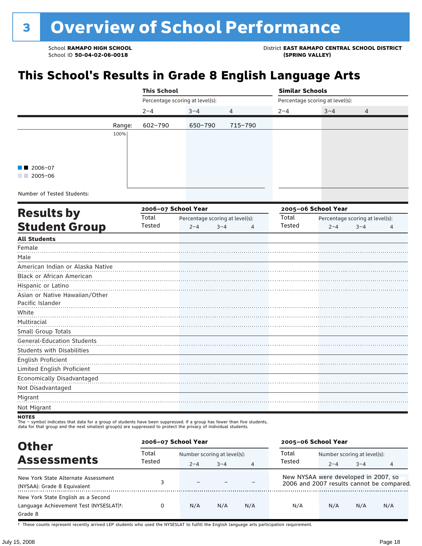School ID 50-04-02-06-0018

School **RAMAPO HIGH SCHOOL** District **EAST RAMAPO CENTRAL SCHOOL DISTRICT**

## **This School's Results in Grade 8 English Language Arts**

|                        |        | <b>This School</b>              |         |                | <b>Similar Schools</b> |                                 |                |  |  |  |
|------------------------|--------|---------------------------------|---------|----------------|------------------------|---------------------------------|----------------|--|--|--|
|                        |        | Percentage scoring at level(s): |         |                |                        | Percentage scoring at level(s): |                |  |  |  |
|                        |        | $2 - 4$                         | $3 - 4$ | $\overline{4}$ | $2 - 4$                | $3 - 4$                         | $\overline{4}$ |  |  |  |
|                        | Range: | 602-790                         | 650-790 | 715-790        |                        |                                 |                |  |  |  |
|                        | 100%   |                                 |         |                |                        |                                 |                |  |  |  |
|                        |        |                                 |         |                |                        |                                 |                |  |  |  |
|                        |        |                                 |         |                |                        |                                 |                |  |  |  |
| $\blacksquare$ 2006-07 |        |                                 |         |                |                        |                                 |                |  |  |  |
| $2005 - 06$            |        |                                 |         |                |                        |                                 |                |  |  |  |
|                        |        |                                 |         |                |                        |                                 |                |  |  |  |

Number of Tested Students:

|                                   |        | 2006-07 School Year |                                 |   |        | 2005-06 School Year |                                 |   |  |  |
|-----------------------------------|--------|---------------------|---------------------------------|---|--------|---------------------|---------------------------------|---|--|--|
| <b>Results by</b>                 | Total  |                     | Percentage scoring at level(s): |   | Total  |                     | Percentage scoring at level(s): |   |  |  |
| <b>Student Group</b>              | Tested | $2 - 4$             | $3 - 4$                         | 4 | Tested | $2 - 4$             | $3 - 4$                         | 4 |  |  |
| <b>All Students</b>               |        |                     |                                 |   |        |                     |                                 |   |  |  |
| Female                            |        |                     |                                 |   |        |                     |                                 |   |  |  |
| Male                              |        |                     |                                 |   |        |                     |                                 |   |  |  |
| American Indian or Alaska Native  |        |                     |                                 |   |        |                     |                                 |   |  |  |
| Black or African American         |        |                     |                                 |   |        |                     |                                 |   |  |  |
| Hispanic or Latino                |        |                     |                                 |   |        |                     |                                 |   |  |  |
| Asian or Native Hawaiian/Other    |        |                     |                                 |   |        |                     |                                 |   |  |  |
| Pacific Islander                  |        |                     |                                 |   |        |                     |                                 |   |  |  |
| White                             |        |                     |                                 |   |        |                     |                                 |   |  |  |
| Multiracial                       |        |                     |                                 |   |        |                     |                                 |   |  |  |
| Small Group Totals                |        |                     |                                 |   |        |                     |                                 |   |  |  |
| General-Education Students        |        |                     |                                 |   |        |                     |                                 |   |  |  |
| <b>Students with Disabilities</b> |        |                     |                                 |   |        |                     |                                 |   |  |  |
| English Proficient                |        |                     |                                 |   |        |                     |                                 |   |  |  |
| Limited English Proficient        |        |                     |                                 |   |        |                     |                                 |   |  |  |
| Economically Disadvantaged        |        |                     |                                 |   |        |                     |                                 |   |  |  |
| Not Disadvantaged                 |        |                     |                                 |   |        |                     |                                 |   |  |  |
| Migrant                           |        |                     |                                 |   |        |                     |                                 |   |  |  |
| Not Migrant                       |        |                     |                                 |   |        |                     |                                 |   |  |  |
|                                   |        |                     |                                 |   |        |                     |                                 |   |  |  |

NOTES<br>The – symbol indicates that data for a group of students have been suppressed. If a group has fewer than five students,<br>data for that group and the next smallest group(s) are suppressed to protect the privacy of indi

| <b>Other</b>                                                                                         | 2006-07 School Year |                                      |         |     | 2005-06 School Year                                                               |                             |         |     |
|------------------------------------------------------------------------------------------------------|---------------------|--------------------------------------|---------|-----|-----------------------------------------------------------------------------------|-----------------------------|---------|-----|
| <b>Assessments</b>                                                                                   | Total               | Total<br>Number scoring at level(s): |         |     |                                                                                   | Number scoring at level(s): |         |     |
|                                                                                                      | Tested              | $2 - 4$                              | $3 - 4$ | 4   | Tested                                                                            | $2 - 4$                     | $3 - 4$ | 4   |
| New York State Alternate Assessment<br>(NYSAA): Grade 8 Equivalent                                   |                     |                                      |         |     | New NYSAA were developed in 2007, so<br>2006 and 2007 results cannot be compared. |                             |         |     |
| New York State English as a Second<br>Language Achievement Test (NYSESLAT) <sup>+</sup> :<br>Grade 8 |                     | N/A                                  | N/A     | N/A | N/A                                                                               | N/A                         | N/A     | N/A |

† These counts represent recently arrived LEP students who used the NYSESLAT to fulfill the English language arts participation requirement.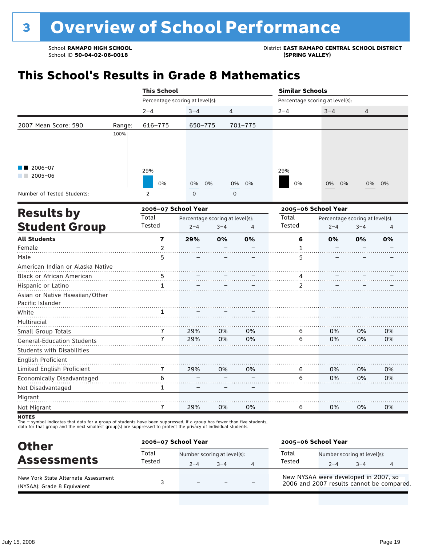## **This School's Results in Grade 8 Mathematics**

|                                   |        | <b>This School</b>      |                                 |             |                |                     | <b>Similar Schools</b><br>Percentage scoring at level(s):<br>$3 - 4$<br>$2 - 4$<br>4<br>29% |         |       |  |
|-----------------------------------|--------|-------------------------|---------------------------------|-------------|----------------|---------------------|---------------------------------------------------------------------------------------------|---------|-------|--|
|                                   |        |                         | Percentage scoring at level(s): |             |                |                     |                                                                                             |         |       |  |
|                                   |        | $2 - 4$                 | $3 - 4$                         | 4           |                |                     |                                                                                             |         |       |  |
| 2007 Mean Score: 590              | Range: | 616-775                 | 650-775                         |             | 701-775        |                     |                                                                                             |         |       |  |
|                                   | 100%   |                         |                                 |             |                |                     |                                                                                             |         |       |  |
|                                   |        |                         |                                 |             |                |                     |                                                                                             |         |       |  |
| $2006 - 07$                       |        |                         |                                 |             |                |                     |                                                                                             |         |       |  |
| $2005 - 06$                       |        | 29%<br>0%               | 0%<br>0%                        | 0%          | 0%             | 0%                  | 0%<br>0%                                                                                    |         | 0% 0% |  |
| Number of Tested Students:        |        | $\overline{2}$          | 0                               | $\mathbf 0$ |                |                     |                                                                                             |         |       |  |
|                                   |        | 2006-07 School Year     |                                 |             |                | 2005-06 School Year |                                                                                             |         |       |  |
| <b>Results by</b>                 |        | Total                   | Percentage scoring at level(s): |             |                | Total               | Percentage scoring at level(s):                                                             |         |       |  |
| <b>Student Group</b>              |        | Tested                  | $2 - 4$                         | $3 - 4$     | $\overline{4}$ | Tested              | $2 - 4$                                                                                     | $3 - 4$ | 4     |  |
| <b>All Students</b>               |        | $\overline{\mathbf{r}}$ | 29%                             | 0%          | 0%             | 6                   | 0%                                                                                          | 0%      | 0%    |  |
| Female                            |        | $\overline{2}$          |                                 |             |                | $\mathbf{1}$        |                                                                                             |         |       |  |
| Male                              |        | 5                       |                                 |             |                | 5                   |                                                                                             |         |       |  |
| American Indian or Alaska Native  |        |                         |                                 |             |                |                     |                                                                                             |         |       |  |
| Black or African American         |        | 5                       |                                 |             |                | 4                   |                                                                                             |         |       |  |
| Hispanic or Latino                |        | $\mathbf{1}$            |                                 |             |                | 2                   |                                                                                             |         |       |  |
| Asian or Native Hawaiian/Other    |        |                         |                                 |             |                |                     |                                                                                             |         |       |  |
| Pacific Islander                  |        |                         |                                 |             |                |                     |                                                                                             |         |       |  |
| White                             |        | 1                       |                                 |             |                |                     |                                                                                             |         |       |  |
| Multiracial                       |        |                         |                                 |             |                |                     |                                                                                             |         |       |  |
| Small Group Totals                |        | 7                       | 29%                             | 0%          | 0%             | 6                   | 0%                                                                                          | 0%      | 0%    |  |
| <b>General-Education Students</b> |        | 7                       | 29%                             | 0%          | 0%             | 6                   | 0%                                                                                          | 0%      | 0%    |  |
| <b>Students with Disabilities</b> |        |                         |                                 |             |                |                     |                                                                                             |         |       |  |
| English Proficient                |        |                         |                                 |             |                |                     |                                                                                             |         |       |  |
| Limited English Proficient        |        | 7                       | 29%                             | 0%          | 0%             | 6                   | 0%                                                                                          | 0%      | 0%    |  |
| Economically Disadvantaged        |        | 6                       |                                 |             |                | 6                   | 0%                                                                                          | 0%      | 0%    |  |
| Not Disadvantaged                 |        | $\mathbf{1}$            |                                 |             |                |                     |                                                                                             |         |       |  |
| Migrant                           |        |                         |                                 |             |                |                     |                                                                                             |         |       |  |
| Not Migrant                       |        | 7                       | 29%                             | 0%          | 0%             | 6                   | 0%                                                                                          | 0%      | 0%    |  |
|                                   |        |                         |                                 |             |                |                     |                                                                                             |         |       |  |

NOTES<br>The – symbol indicates that data for a group of students have been suppressed. If a group has fewer than five students,<br>data for that group and the next smallest group(s) are suppressed to protect the privacy of indi

| <b>Other</b>                                                       | 2006-07 School Year |                                        |      |   | 2005-06 School Year                                                               |                                        |         |  |
|--------------------------------------------------------------------|---------------------|----------------------------------------|------|---|-----------------------------------------------------------------------------------|----------------------------------------|---------|--|
| <b>Assessments</b>                                                 | Total<br>Tested     | Number scoring at level(s):<br>$2 - 4$ | $-4$ | 4 | Total<br>Tested                                                                   | Number scoring at level(s):<br>$2 - 4$ | $3 - 4$ |  |
| New York State Alternate Assessment<br>(NYSAA): Grade 8 Equivalent |                     | $\equiv$                               |      |   | New NYSAA were developed in 2007, so<br>2006 and 2007 results cannot be compared. |                                        |         |  |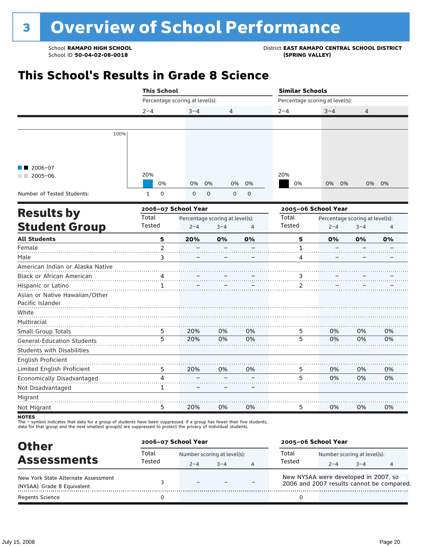School **RAMAPO HIGH SCHOOL**<br>School ID 50-04-02-06-0018<br>
School ID 50-04-02-06-0018

## **This School's Results in Grade 8 Science**

|                                   | <b>This School</b> |                                                                                                                                                                                                                                                                                                                                                                                           |    |    | <b>Similar Schools</b>          |                                 |         |    |  |
|-----------------------------------|--------------------|-------------------------------------------------------------------------------------------------------------------------------------------------------------------------------------------------------------------------------------------------------------------------------------------------------------------------------------------------------------------------------------------|----|----|---------------------------------|---------------------------------|---------|----|--|
|                                   |                    | Percentage scoring at level(s):<br>$3 - 4$<br>4<br>0%<br>0%<br>0%<br>0%<br>0%<br>0<br>0<br>$\mathbf 0$<br>$\mathsf{O}\xspace$<br>$\mathbf 0$<br>2006-07 School Year<br>Percentage scoring at level(s):<br>$2 - 4$<br>$3 - 4$<br>$\overline{4}$<br>5<br>20%<br>0%<br>0%<br>$\overline{c}$<br>3<br>4<br>1<br>20%<br>0%<br>0%<br>5<br>5<br>20%<br>0%<br>0%<br>5<br>20%<br>0%<br>0%<br>4<br>1 |    |    | Percentage scoring at level(s): |                                 |         |    |  |
|                                   | $2 - 4$            |                                                                                                                                                                                                                                                                                                                                                                                           |    |    | $2 - 4$                         | $3 - 4$                         | 4       |    |  |
|                                   |                    |                                                                                                                                                                                                                                                                                                                                                                                           |    |    |                                 |                                 |         |    |  |
| 100%                              |                    |                                                                                                                                                                                                                                                                                                                                                                                           |    |    |                                 |                                 |         |    |  |
|                                   |                    |                                                                                                                                                                                                                                                                                                                                                                                           |    |    |                                 |                                 |         |    |  |
|                                   |                    |                                                                                                                                                                                                                                                                                                                                                                                           |    |    |                                 |                                 |         |    |  |
| 2006-07<br>$2005 - 06$            | 20%                |                                                                                                                                                                                                                                                                                                                                                                                           |    |    | 20%                             |                                 |         |    |  |
|                                   |                    |                                                                                                                                                                                                                                                                                                                                                                                           |    |    | 0%                              | 0%<br>0%                        | 0%      | 0% |  |
| Number of Tested Students:        | $\mathbf{1}$       |                                                                                                                                                                                                                                                                                                                                                                                           |    |    |                                 |                                 |         |    |  |
| <b>Results by</b>                 |                    |                                                                                                                                                                                                                                                                                                                                                                                           |    |    |                                 | 2005-06 School Year             |         |    |  |
|                                   | Total              |                                                                                                                                                                                                                                                                                                                                                                                           |    |    | Total                           | Percentage scoring at level(s): |         |    |  |
| <b>Student Group</b>              | Tested             |                                                                                                                                                                                                                                                                                                                                                                                           |    |    | <b>Tested</b>                   | $2 - 4$                         | $3 - 4$ | 4  |  |
| <b>All Students</b>               |                    |                                                                                                                                                                                                                                                                                                                                                                                           |    |    | 5                               | 0%                              | 0%      | 0% |  |
| Female                            |                    |                                                                                                                                                                                                                                                                                                                                                                                           |    |    | $\mathbf{1}$                    |                                 |         |    |  |
| Male                              |                    |                                                                                                                                                                                                                                                                                                                                                                                           |    |    | 4                               |                                 |         |    |  |
| American Indian or Alaska Native  |                    |                                                                                                                                                                                                                                                                                                                                                                                           |    |    |                                 |                                 |         |    |  |
| <b>Black or African American</b>  |                    |                                                                                                                                                                                                                                                                                                                                                                                           |    |    | 3                               |                                 |         |    |  |
| Hispanic or Latino                |                    |                                                                                                                                                                                                                                                                                                                                                                                           |    |    | 2                               |                                 |         |    |  |
| Asian or Native Hawaiian/Other    |                    |                                                                                                                                                                                                                                                                                                                                                                                           |    |    |                                 |                                 |         |    |  |
| Pacific Islander                  |                    |                                                                                                                                                                                                                                                                                                                                                                                           |    |    |                                 |                                 |         |    |  |
| White                             |                    |                                                                                                                                                                                                                                                                                                                                                                                           |    |    |                                 |                                 |         |    |  |
| Multiracial                       |                    |                                                                                                                                                                                                                                                                                                                                                                                           |    |    |                                 |                                 |         |    |  |
| Small Group Totals                |                    |                                                                                                                                                                                                                                                                                                                                                                                           |    |    | 5                               | 0%                              | 0%      | 0% |  |
| <b>General-Education Students</b> |                    |                                                                                                                                                                                                                                                                                                                                                                                           |    |    | 5                               | 0%                              | 0%      | 0% |  |
| <b>Students with Disabilities</b> |                    |                                                                                                                                                                                                                                                                                                                                                                                           |    |    |                                 |                                 |         |    |  |
| <b>English Proficient</b>         |                    |                                                                                                                                                                                                                                                                                                                                                                                           |    |    |                                 |                                 |         |    |  |
| Limited English Proficient        |                    |                                                                                                                                                                                                                                                                                                                                                                                           |    |    | 5                               | 0%                              | 0%      | 0% |  |
| Economically Disadvantaged        |                    |                                                                                                                                                                                                                                                                                                                                                                                           |    |    | 5                               | 0%                              | 0%      | 0% |  |
| Not Disadvantaged                 |                    |                                                                                                                                                                                                                                                                                                                                                                                           |    |    |                                 |                                 |         |    |  |
| Migrant                           |                    |                                                                                                                                                                                                                                                                                                                                                                                           |    |    |                                 |                                 |         |    |  |
| Not Migrant                       | 5                  | 20%                                                                                                                                                                                                                                                                                                                                                                                       | 0% | 0% | 5                               | 0%                              | 0%      | 0% |  |

data for that group and the next smallest group(s) are suppressed to protect the privacy of individual students.

| <b>Other</b>                        | 2006-07 School Year |                             |         |   |                                                                                   | 2005-06 School Year         |         |  |  |  |
|-------------------------------------|---------------------|-----------------------------|---------|---|-----------------------------------------------------------------------------------|-----------------------------|---------|--|--|--|
| <b>Assessments</b>                  | Total<br>Tested     | Number scoring at level(s): |         |   | Total                                                                             | Number scoring at level(s): |         |  |  |  |
|                                     |                     | $2 - 4$                     | $3 - 4$ | 4 | Tested                                                                            | $2 - 4$                     | $3 - 4$ |  |  |  |
| New York State Alternate Assessment |                     |                             |         |   | New NYSAA were developed in 2007, so<br>2006 and 2007 results cannot be compared. |                             |         |  |  |  |
| (NYSAA): Grade 8 Equivalent         |                     |                             |         |   |                                                                                   |                             |         |  |  |  |
| <b>Regents Science</b>              |                     |                             |         |   |                                                                                   |                             |         |  |  |  |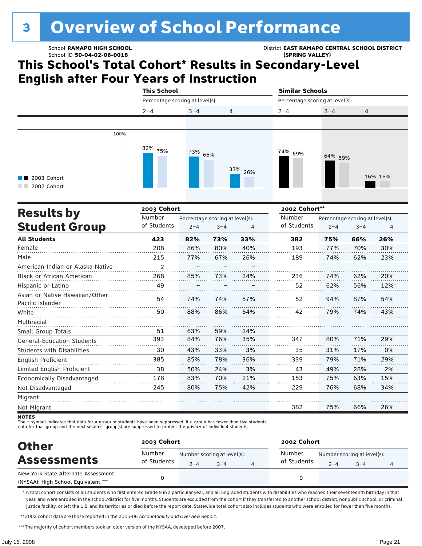# <sup>3</sup> Overview of School Performance

### School ID **50-04-02-06-0018 (SPRING VALLEY)**

School **RAMAPO HIGH SCHOOL** District **EAST RAMAPO CENTRAL SCHOOL DISTRICT**

### **This School's Total Cohort\* Results in Secondary-Level English after Four Years of Instruction**

|                                                            |      | <b>This School</b>              |         |                | <b>Similar Schools</b>          |         |                |
|------------------------------------------------------------|------|---------------------------------|---------|----------------|---------------------------------|---------|----------------|
|                                                            |      | Percentage scoring at level(s): |         |                | Percentage scoring at level(s): |         |                |
|                                                            |      | $2 - 4$                         | $3 - 4$ | $\overline{4}$ | $2 - 4$                         | $3 - 4$ | $\overline{4}$ |
|                                                            |      |                                 |         |                |                                 |         |                |
| 2003 Cohort<br>a sa Bara<br>2002 Cohort<br><b>Contract</b> | 100% | 82%<br>75%                      | 73% 66% | 33% 26%        | <sup>74%</sup> 69%              | 64% 59% | 16% 16%        |

|                                                    | 2003 Cohort |                                 |         |     |             | 2002 Cohort** |                                 |     |  |  |  |
|----------------------------------------------------|-------------|---------------------------------|---------|-----|-------------|---------------|---------------------------------|-----|--|--|--|
| <b>Results by</b>                                  | Number      | Percentage scoring at level(s): |         |     | Number      |               | Percentage scoring at level(s): |     |  |  |  |
| <b>Student Group</b>                               | of Students | $2 - 4$                         | $3 - 4$ | 4   | of Students | $2 - 4$       | $3 - 4$                         | 4   |  |  |  |
| <b>All Students</b>                                | 423         | 82%                             | 73%     | 33% | 382         | 75%           | 66%                             | 26% |  |  |  |
| Female                                             | 208         | 86%                             | 80%     | 40% | 193         | 77%           | 70%                             | 30% |  |  |  |
| Male                                               | 215         | 77%                             | 67%     | 26% | 189         | 74%           | 62%                             | 23% |  |  |  |
| American Indian or Alaska Native                   | 2           |                                 |         |     |             |               |                                 |     |  |  |  |
| <b>Black or African American</b>                   | 268         | 85%                             | 73%     | 24% | 236         | 74%           | 62%                             | 20% |  |  |  |
| Hispanic or Latino                                 | 49          |                                 |         |     | 52          | 62%           | 56%                             | 12% |  |  |  |
| Asian or Native Hawaiian/Other<br>Pacific Islander | 54          | 74%                             | 74%     | 57% | 52          | 94%           | 87%                             | 54% |  |  |  |
| White                                              | 50          | 88%                             | 86%     | 64% | 42          | 79%           | 74%                             | 43% |  |  |  |
| Multiracial                                        |             |                                 |         |     |             |               |                                 |     |  |  |  |
| Small Group Totals                                 | 51          | 63%                             | 59%     | 24% |             |               |                                 |     |  |  |  |
| <b>General-Education Students</b>                  | 393         | 84%                             | 76%     | 35% | 347         | 80%           | 71%                             | 29% |  |  |  |
| <b>Students with Disabilities</b>                  | 30          | 43%                             | 33%     | 3%  | 35          | 31%           | 17%                             | 0%  |  |  |  |
| <b>English Proficient</b>                          | 385         | 85%                             | 78%     | 36% | 339         | 79%           | 71%                             | 29% |  |  |  |
| Limited English Proficient                         | 38          | 50%                             | 24%     | 3%  | 43          | 49%           | 28%                             | 2%  |  |  |  |
| Economically Disadvantaged                         | 178         | 83%                             | 70%     | 21% | 153         | 75%           | 63%                             | 15% |  |  |  |
| Not Disadvantaged                                  | 245         | 80%                             | 75%     | 42% | 229         | 76%           | 68%                             | 34% |  |  |  |
| Migrant                                            |             |                                 |         |     |             |               |                                 |     |  |  |  |
| Not Migrant                                        |             |                                 |         |     | 382         | 75%           | 66%                             | 26% |  |  |  |

**NOTES** 

The – symbol indicates that data for a group of students have been suppressed. If a group has fewer than five students,

data for that group and the next smallest group(s) are suppressed to protect the privacy of individual students.

| <b>Other</b>                                                               | 2003 Cohort           |                                        |      |  | 2002 Cohort           |                                                        |  |  |  |
|----------------------------------------------------------------------------|-----------------------|----------------------------------------|------|--|-----------------------|--------------------------------------------------------|--|--|--|
| <b>Assessments</b>                                                         | Number<br>of Students | Number scoring at level(s):<br>$2 - 4$ | $-4$ |  | Number<br>of Students | Number scoring at level(s):<br>$2 - 4$<br>$3 - 4$<br>4 |  |  |  |
| New York State Alternate Assessment<br>(NYSAA): High School Equivalent *** |                       |                                        |      |  |                       |                                                        |  |  |  |

\* A total cohort consists of all students who first entered Grade 9 in a particular year, and all ungraded students with disabilities who reached their seventeenth birthday in that year, and were enrolled in the school/district for five months. Students are excluded from the cohort if they transferred to another school district, nonpublic school, or criminal justice facility, or left the U.S. and its territories or died before the report date. Statewide total cohort also includes students who were enrolled for fewer than five months.

\*\*2002 cohort data are those reported in the 2005-06 *Accountability and Overview Report*.

\*\*\* The majority of cohort members took an older version of the NYSAA, developed before 2007.